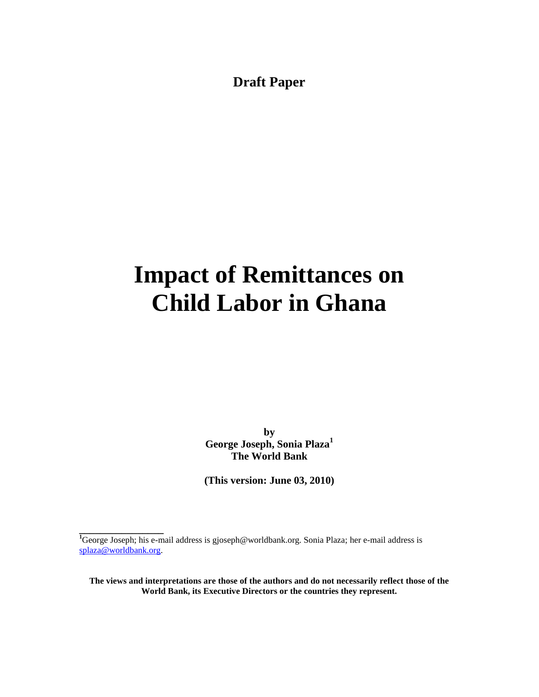**Draft Paper**

# **Impact of Remittances on Child Labor in Ghana**

**by George Joseph, Sonia Plaza<sup>1</sup> The World Bank**

**(This version: June 03, 2010)**

**\_\_\_\_\_\_\_\_\_\_\_\_\_\_\_\_**

**The views and interpretations are those of the authors and do not necessarily reflect those of the World Bank, its Executive Directors or the countries they represent.**

**<sup>1</sup>**George Joseph; his e-mail address is gjoseph@worldbank.org. Sonia Plaza; her e-mail address is [splaza@worldbank.org.](mailto:splaza@worldbank.org)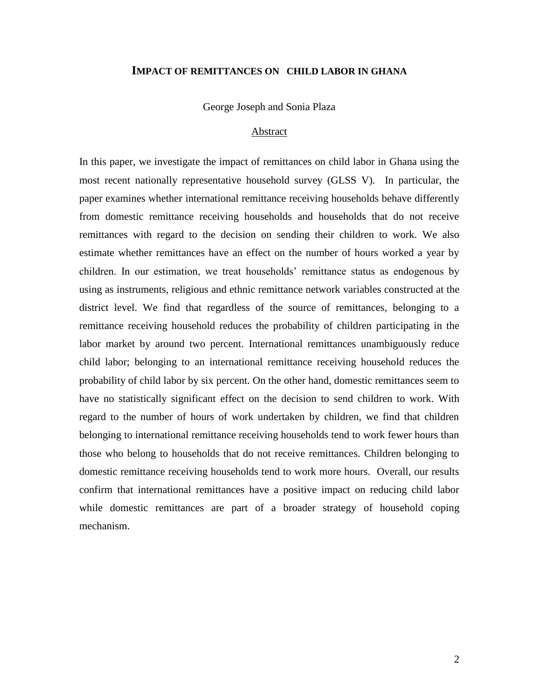#### **IMPACT OF REMITTANCES ON CHILD LABOR IN GHANA**

George Joseph and Sonia Plaza

#### Abstract

In this paper, we investigate the impact of remittances on child labor in Ghana using the most recent nationally representative household survey (GLSS V). In particular, the paper examines whether international remittance receiving households behave differently from domestic remittance receiving households and households that do not receive remittances with regard to the decision on sending their children to work. We also estimate whether remittances have an effect on the number of hours worked a year by children. In our estimation, we treat households" remittance status as endogenous by using as instruments, religious and ethnic remittance network variables constructed at the district level. We find that regardless of the source of remittances, belonging to a remittance receiving household reduces the probability of children participating in the labor market by around two percent. International remittances unambiguously reduce child labor; belonging to an international remittance receiving household reduces the probability of child labor by six percent. On the other hand, domestic remittances seem to have no statistically significant effect on the decision to send children to work. With regard to the number of hours of work undertaken by children, we find that children belonging to international remittance receiving households tend to work fewer hours than those who belong to households that do not receive remittances. Children belonging to domestic remittance receiving households tend to work more hours. Overall, our results confirm that international remittances have a positive impact on reducing child labor while domestic remittances are part of a broader strategy of household coping mechanism.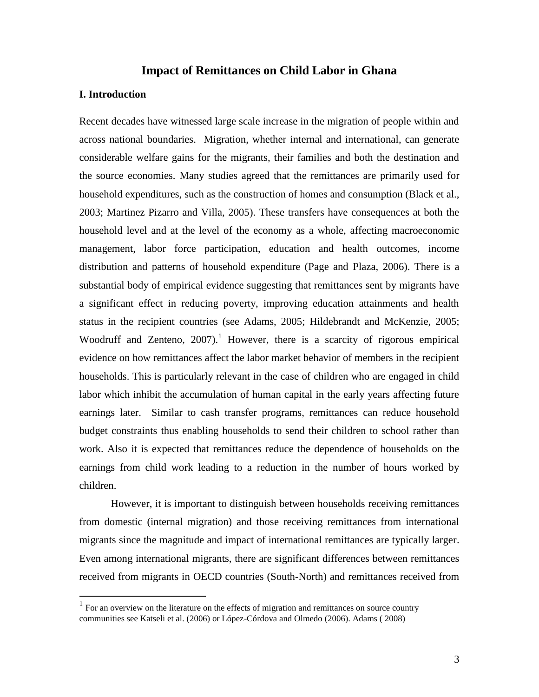## **Impact of Remittances on Child Labor in Ghana**

#### **I. Introduction**

 $\overline{a}$ 

Recent decades have witnessed large scale increase in the migration of people within and across national boundaries. Migration, whether internal and international, can generate considerable welfare gains for the migrants, their families and both the destination and the source economies. Many studies agreed that the remittances are primarily used for household expenditures, such as the construction of homes and consumption [\(Black et](http://jae.oxfordjournals.org/cgi/content/full/15/suppl_2/245#EJL035C25) al., [2003;](http://jae.oxfordjournals.org/cgi/content/full/15/suppl_2/245#EJL035C25) [Martinez Pizarro and Villa, 2005\)](http://jae.oxfordjournals.org/cgi/content/full/15/suppl_2/245#EJL035C127). These transfers have consequences at both the household level and at the level of the economy as a whole, affecting macroeconomic management, labor force participation, education and health outcomes, income distribution and patterns of household expenditure (Page and Plaza, 2006). There is a substantial body of empirical evidence suggesting that remittances sent by migrants have a significant effect in reducing poverty, improving education attainments and health status in the recipient countries (see Adams, 2005; Hildebrandt and McKenzie, 2005; Woodruff and Zenteno,  $2007$ .<sup>1</sup> However, there is a scarcity of rigorous empirical evidence on how remittances affect the labor market behavior of members in the recipient households. This is particularly relevant in the case of children who are engaged in child labor which inhibit the accumulation of human capital in the early years affecting future earnings later. Similar to cash transfer programs, remittances can reduce household budget constraints thus enabling households to send their children to school rather than work. Also it is expected that remittances reduce the dependence of households on the earnings from child work leading to a reduction in the number of hours worked by children.

However, it is important to distinguish between households receiving remittances from domestic (internal migration) and those receiving remittances from international migrants since the magnitude and impact of international remittances are typically larger. Even among international migrants, there are significant differences between remittances received from migrants in OECD countries (South-North) and remittances received from

 $<sup>1</sup>$  For an overview on the literature on the effects of migration and remittances on source country</sup> communities see Katseli et al. (2006) or López-Córdova and Olmedo (2006). Adams ( 2008)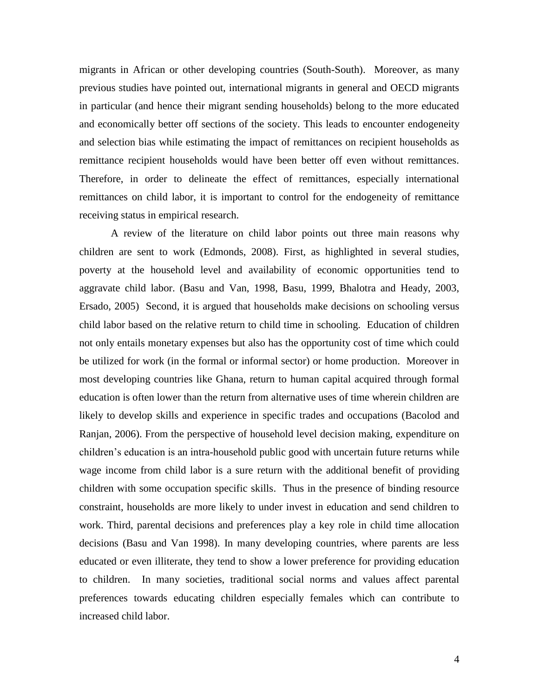migrants in African or other developing countries (South-South). Moreover, as many previous studies have pointed out, international migrants in general and OECD migrants in particular (and hence their migrant sending households) belong to the more educated and economically better off sections of the society. This leads to encounter endogeneity and selection bias while estimating the impact of remittances on recipient households as remittance recipient households would have been better off even without remittances. Therefore, in order to delineate the effect of remittances, especially international remittances on child labor, it is important to control for the endogeneity of remittance receiving status in empirical research.

A review of the literature on child labor points out three main reasons why children are sent to work (Edmonds, 2008). First, as highlighted in several studies, poverty at the household level and availability of economic opportunities tend to aggravate child labor. (Basu and Van, 1998, Basu, 1999, Bhalotra and Heady, 2003, Ersado, 2005) Second, it is argued that households make decisions on schooling versus child labor based on the relative return to child time in schooling. Education of children not only entails monetary expenses but also has the opportunity cost of time which could be utilized for work (in the formal or informal sector) or home production. Moreover in most developing countries like Ghana, return to human capital acquired through formal education is often lower than the return from alternative uses of time wherein children are likely to develop skills and experience in specific trades and occupations (Bacolod and Ranjan, 2006). From the perspective of household level decision making, expenditure on children"s education is an intra-household public good with uncertain future returns while wage income from child labor is a sure return with the additional benefit of providing children with some occupation specific skills. Thus in the presence of binding resource constraint, households are more likely to under invest in education and send children to work. Third, parental decisions and preferences play a key role in child time allocation decisions (Basu and Van 1998). In many developing countries, where parents are less educated or even illiterate, they tend to show a lower preference for providing education to children. In many societies, traditional social norms and values affect parental preferences towards educating children especially females which can contribute to increased child labor.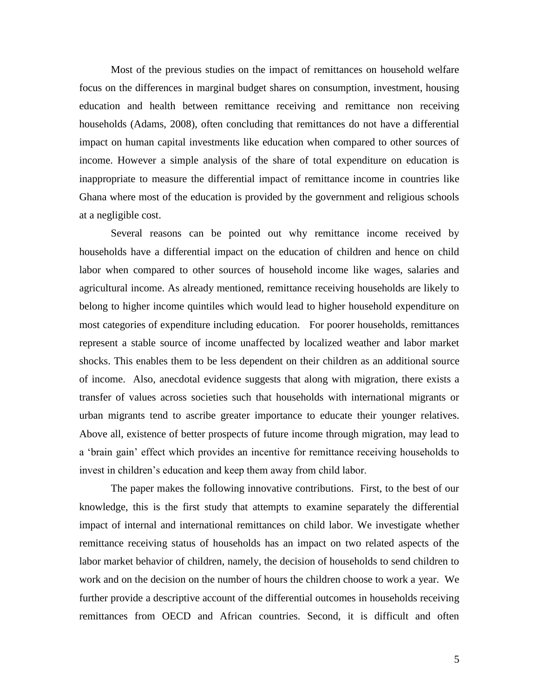Most of the previous studies on the impact of remittances on household welfare focus on the differences in marginal budget shares on consumption, investment, housing education and health between remittance receiving and remittance non receiving households (Adams, 2008), often concluding that remittances do not have a differential impact on human capital investments like education when compared to other sources of income. However a simple analysis of the share of total expenditure on education is inappropriate to measure the differential impact of remittance income in countries like Ghana where most of the education is provided by the government and religious schools at a negligible cost.

Several reasons can be pointed out why remittance income received by households have a differential impact on the education of children and hence on child labor when compared to other sources of household income like wages, salaries and agricultural income. As already mentioned, remittance receiving households are likely to belong to higher income quintiles which would lead to higher household expenditure on most categories of expenditure including education. For poorer households, remittances represent a stable source of income unaffected by localized weather and labor market shocks. This enables them to be less dependent on their children as an additional source of income. Also, anecdotal evidence suggests that along with migration, there exists a transfer of values across societies such that households with international migrants or urban migrants tend to ascribe greater importance to educate their younger relatives. Above all, existence of better prospects of future income through migration, may lead to a "brain gain" effect which provides an incentive for remittance receiving households to invest in children"s education and keep them away from child labor.

The paper makes the following innovative contributions. First, to the best of our knowledge, this is the first study that attempts to examine separately the differential impact of internal and international remittances on child labor. We investigate whether remittance receiving status of households has an impact on two related aspects of the labor market behavior of children, namely, the decision of households to send children to work and on the decision on the number of hours the children choose to work a year. We further provide a descriptive account of the differential outcomes in households receiving remittances from OECD and African countries. Second, it is difficult and often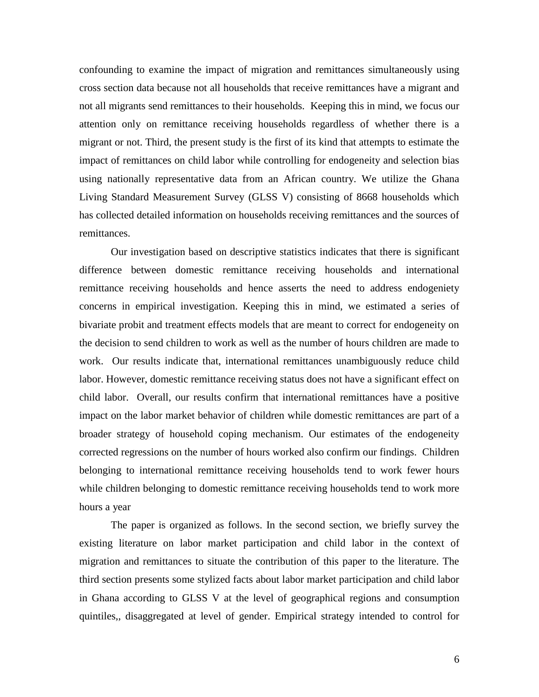confounding to examine the impact of migration and remittances simultaneously using cross section data because not all households that receive remittances have a migrant and not all migrants send remittances to their households. Keeping this in mind, we focus our attention only on remittance receiving households regardless of whether there is a migrant or not. Third, the present study is the first of its kind that attempts to estimate the impact of remittances on child labor while controlling for endogeneity and selection bias using nationally representative data from an African country. We utilize the Ghana Living Standard Measurement Survey (GLSS V) consisting of 8668 households which has collected detailed information on households receiving remittances and the sources of remittances.

Our investigation based on descriptive statistics indicates that there is significant difference between domestic remittance receiving households and international remittance receiving households and hence asserts the need to address endogeniety concerns in empirical investigation. Keeping this in mind, we estimated a series of bivariate probit and treatment effects models that are meant to correct for endogeneity on the decision to send children to work as well as the number of hours children are made to work. Our results indicate that, international remittances unambiguously reduce child labor. However, domestic remittance receiving status does not have a significant effect on child labor. Overall, our results confirm that international remittances have a positive impact on the labor market behavior of children while domestic remittances are part of a broader strategy of household coping mechanism. Our estimates of the endogeneity corrected regressions on the number of hours worked also confirm our findings. Children belonging to international remittance receiving households tend to work fewer hours while children belonging to domestic remittance receiving households tend to work more hours a year

The paper is organized as follows. In the second section, we briefly survey the existing literature on labor market participation and child labor in the context of migration and remittances to situate the contribution of this paper to the literature. The third section presents some stylized facts about labor market participation and child labor in Ghana according to GLSS V at the level of geographical regions and consumption quintiles,, disaggregated at level of gender. Empirical strategy intended to control for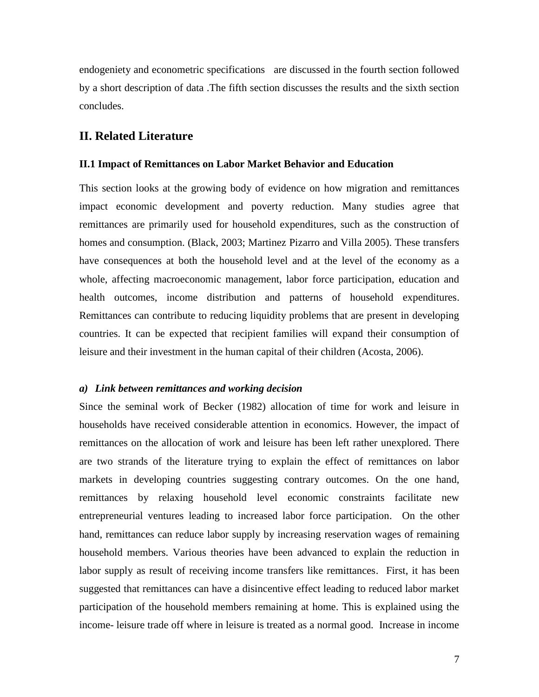endogeniety and econometric specifications are discussed in the fourth section followed by a short description of data .The fifth section discusses the results and the sixth section concludes.

## **II. Related Literature**

#### **II.1 Impact of Remittances on Labor Market Behavior and Education**

This section looks at the growing body of evidence on how migration and remittances impact economic development and poverty reduction. Many studies agree that remittances are primarily used for household expenditures, such as the construction of homes and consumption. (Black, 2003; Martinez Pizarro and Villa 2005). These transfers have consequences at both the household level and at the level of the economy as a whole, affecting macroeconomic management, labor force participation, education and health outcomes, income distribution and patterns of household expenditures. Remittances can contribute to reducing liquidity problems that are present in developing countries. It can be expected that recipient families will expand their consumption of leisure and their investment in the human capital of their children (Acosta, 2006).

#### *a) Link between remittances and working decision*

Since the seminal work of Becker (1982) allocation of time for work and leisure in households have received considerable attention in economics. However, the impact of remittances on the allocation of work and leisure has been left rather unexplored. There are two strands of the literature trying to explain the effect of remittances on labor markets in developing countries suggesting contrary outcomes. On the one hand, remittances by relaxing household level economic constraints facilitate new entrepreneurial ventures leading to increased labor force participation. On the other hand, remittances can reduce labor supply by increasing reservation wages of remaining household members. Various theories have been advanced to explain the reduction in labor supply as result of receiving income transfers like remittances. First, it has been suggested that remittances can have a disincentive effect leading to reduced labor market participation of the household members remaining at home. This is explained using the income- leisure trade off where in leisure is treated as a normal good. Increase in income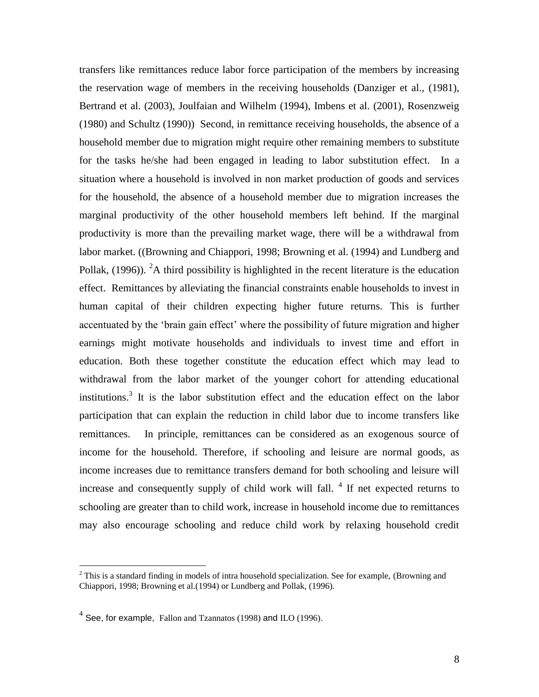transfers like remittances reduce labor force participation of the members by increasing the reservation wage of members in the receiving households (Danziger et al., (1981), Bertrand et al. (2003), Joulfaian and Wilhelm (1994), Imbens et al. (2001), Rosenzweig (1980) and Schultz (1990)) Second, in remittance receiving households, the absence of a household member due to migration might require other remaining members to substitute for the tasks he/she had been engaged in leading to labor substitution effect. In a situation where a household is involved in non market production of goods and services for the household, the absence of a household member due to migration increases the marginal productivity of the other household members left behind. If the marginal productivity is more than the prevailing market wage, there will be a withdrawal from labor market. ((Browning and Chiappori, 1998; Browning et al. (1994) and Lundberg and Pollak,  $(1996)$ ). <sup>2</sup>A third possibility is highlighted in the recent literature is the education effect. Remittances by alleviating the financial constraints enable households to invest in human capital of their children expecting higher future returns. This is further accentuated by the "brain gain effect" where the possibility of future migration and higher earnings might motivate households and individuals to invest time and effort in education. Both these together constitute the education effect which may lead to withdrawal from the labor market of the younger cohort for attending educational institutions.<sup>3</sup> It is the labor substitution effect and the education effect on the labor participation that can explain the reduction in child labor due to income transfers like remittances. In principle, remittances can be considered as an exogenous source of income for the household. Therefore, if schooling and leisure are normal goods, as income increases due to remittance transfers demand for both schooling and leisure will increase and consequently supply of child work will fall.  $4$  If net expected returns to schooling are greater than to child work, increase in household income due to remittances may also encourage schooling and reduce child work by relaxing household credit

 $\overline{a}$ 

 $2$  This is a standard finding in models of intra household specialization. See for example, (Browning and Chiappori, 1998; Browning et al.(1994) or Lundberg and Pollak, (1996).

 $^4$  See, for example, Fallon and Tzannatos (1998) and ILO (1996).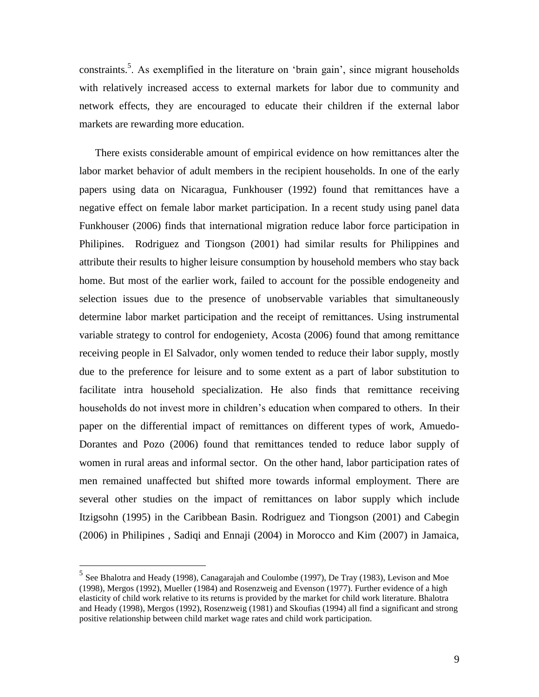constraints.<sup>5</sup>. As exemplified in the literature on 'brain gain', since migrant households with relatively increased access to external markets for labor due to community and network effects, they are encouraged to educate their children if the external labor markets are rewarding more education.

There exists considerable amount of empirical evidence on how remittances alter the labor market behavior of adult members in the recipient households. In one of the early papers using data on Nicaragua, Funkhouser (1992) found that remittances have a negative effect on female labor market participation. In a recent study using panel data Funkhouser (2006) finds that international migration reduce labor force participation in Philipines. Rodriguez and Tiongson (2001) had similar results for Philippines and attribute their results to higher leisure consumption by household members who stay back home. But most of the earlier work, failed to account for the possible endogeneity and selection issues due to the presence of unobservable variables that simultaneously determine labor market participation and the receipt of remittances. Using instrumental variable strategy to control for endogeniety, Acosta (2006) found that among remittance receiving people in El Salvador, only women tended to reduce their labor supply, mostly due to the preference for leisure and to some extent as a part of labor substitution to facilitate intra household specialization. He also finds that remittance receiving households do not invest more in children"s education when compared to others. In their paper on the differential impact of remittances on different types of work, Amuedo-Dorantes and Pozo (2006) found that remittances tended to reduce labor supply of women in rural areas and informal sector. On the other hand, labor participation rates of men remained unaffected but shifted more towards informal employment. There are several other studies on the impact of remittances on labor supply which include Itzigsohn (1995) in the Caribbean Basin. Rodriguez and Tiongson (2001) and Cabegin (2006) in Philipines , Sadiqi and Ennaji (2004) in Morocco and Kim (2007) in Jamaica,

 $\overline{a}$ 

<sup>&</sup>lt;sup>5</sup> See Bhalotra and Heady (1998), Canagarajah and Coulombe (1997), De Tray (1983), Levison and Moe (1998), Mergos (1992), Mueller (1984) and Rosenzweig and Evenson (1977). Further evidence of a high elasticity of child work relative to its returns is provided by the market for child work literature. Bhalotra and Heady (1998), Mergos (1992), Rosenzweig (1981) and Skoufias (1994) all find a significant and strong positive relationship between child market wage rates and child work participation.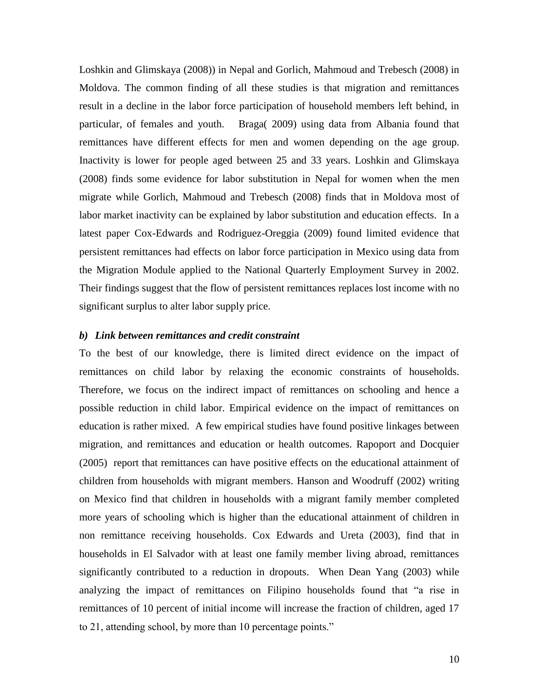Loshkin and Glimskaya (2008)) in Nepal and Gorlich, Mahmoud and Trebesch (2008) in Moldova. The common finding of all these studies is that migration and remittances result in a decline in the labor force participation of household members left behind, in particular, of females and youth. Braga( 2009) using data from Albania found that remittances have different effects for men and women depending on the age group. Inactivity is lower for people aged between 25 and 33 years. Loshkin and Glimskaya (2008) finds some evidence for labor substitution in Nepal for women when the men migrate while Gorlich, Mahmoud and Trebesch (2008) finds that in Moldova most of labor market inactivity can be explained by labor substitution and education effects. In a latest paper Cox-Edwards and Rodriguez-Oreggia (2009) found limited evidence that persistent remittances had effects on labor force participation in Mexico using data from the Migration Module applied to the National Quarterly Employment Survey in 2002. Their findings suggest that the flow of persistent remittances replaces lost income with no significant surplus to alter labor supply price.

#### *b) Link between remittances and credit constraint*

To the best of our knowledge, there is limited direct evidence on the impact of remittances on child labor by relaxing the economic constraints of households. Therefore, we focus on the indirect impact of remittances on schooling and hence a possible reduction in child labor. Empirical evidence on the impact of remittances on education is rather mixed. A few empirical studies have found positive linkages between migration, and remittances and education or health outcomes. Rapoport and Docquier (2005) report that remittances can have positive effects on the educational attainment of children from households with migrant members. Hanson and Woodruff (2002) writing on Mexico find that children in households with a migrant family member completed more years of schooling which is higher than the educational attainment of children in non remittance receiving households. Cox Edwards and Ureta (2003), find that in households in El Salvador with at least one family member living abroad, remittances significantly contributed to a reduction in dropouts. When Dean Yang (2003) while analyzing the impact of remittances on Filipino households found that "a rise in remittances of 10 percent of initial income will increase the fraction of children, aged 17 to 21, attending school, by more than 10 percentage points."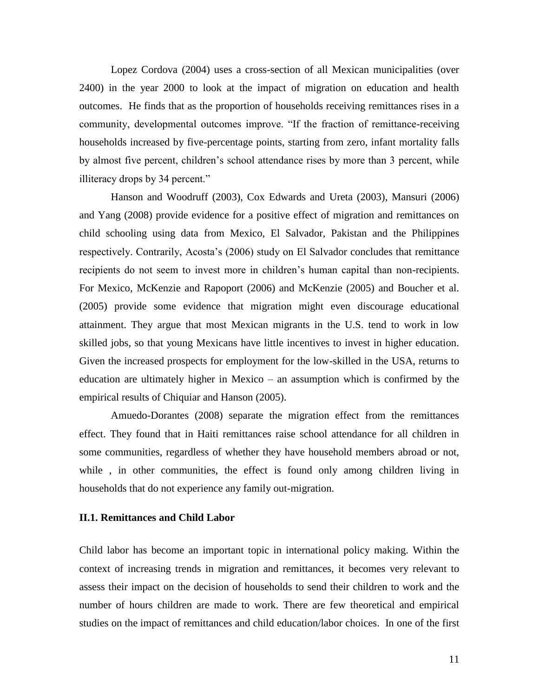Lopez Cordova (2004) uses a cross-section of all Mexican municipalities (over 2400) in the year 2000 to look at the impact of migration on education and health outcomes. He finds that as the proportion of households receiving remittances rises in a community, developmental outcomes improve. "If the fraction of remittance-receiving households increased by five-percentage points, starting from zero, infant mortality falls by almost five percent, children"s school attendance rises by more than 3 percent, while illiteracy drops by 34 percent."

Hanson and Woodruff (2003), Cox Edwards and Ureta (2003), Mansuri (2006) and Yang (2008) provide evidence for a positive effect of migration and remittances on child schooling using data from Mexico, El Salvador, Pakistan and the Philippines respectively. Contrarily, Acosta's (2006) study on El Salvador concludes that remittance recipients do not seem to invest more in children"s human capital than non-recipients. For Mexico, McKenzie and Rapoport (2006) and McKenzie (2005) and Boucher et al. (2005) provide some evidence that migration might even discourage educational attainment. They argue that most Mexican migrants in the U.S. tend to work in low skilled jobs, so that young Mexicans have little incentives to invest in higher education. Given the increased prospects for employment for the low-skilled in the USA, returns to education are ultimately higher in Mexico – an assumption which is confirmed by the empirical results of Chiquiar and Hanson (2005).

Amuedo-Dorantes (2008) separate the migration effect from the remittances effect. They found that in Haiti remittances raise school attendance for all children in some communities, regardless of whether they have household members abroad or not, while, in other communities, the effect is found only among children living in households that do not experience any family out-migration.

#### **II.1. Remittances and Child Labor**

Child labor has become an important topic in international policy making. Within the context of increasing trends in migration and remittances, it becomes very relevant to assess their impact on the decision of households to send their children to work and the number of hours children are made to work. There are few theoretical and empirical studies on the impact of remittances and child education/labor choices. In one of the first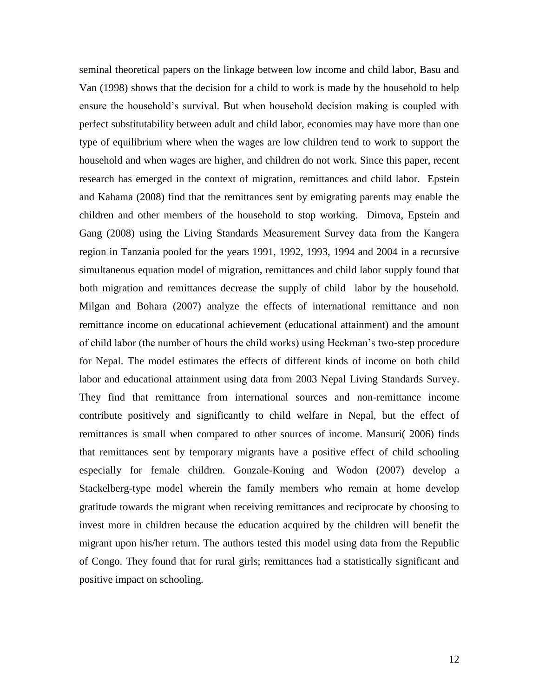seminal theoretical papers on the linkage between low income and child labor, Basu and Van (1998) shows that the decision for a child to work is made by the household to help ensure the household"s survival. But when household decision making is coupled with perfect substitutability between adult and child labor, economies may have more than one type of equilibrium where when the wages are low children tend to work to support the household and when wages are higher, and children do not work. Since this paper, recent research has emerged in the context of migration, remittances and child labor. Epstein and Kahama (2008) find that the remittances sent by emigrating parents may enable the children and other members of the household to stop working. Dimova, Epstein and Gang (2008) using the Living Standards Measurement Survey data from the Kangera region in Tanzania pooled for the years 1991, 1992, 1993, 1994 and 2004 in a recursive simultaneous equation model of migration, remittances and child labor supply found that both migration and remittances decrease the supply of child labor by the household. Milgan and Bohara (2007) analyze the effects of international remittance and non remittance income on educational achievement (educational attainment) and the amount of child labor (the number of hours the child works) using Heckman"s two-step procedure for Nepal. The model estimates the effects of different kinds of income on both child labor and educational attainment using data from 2003 Nepal Living Standards Survey. They find that remittance from international sources and non-remittance income contribute positively and significantly to child welfare in Nepal, but the effect of remittances is small when compared to other sources of income. Mansuri( 2006) finds that remittances sent by temporary migrants have a positive effect of child schooling especially for female children. Gonzale-Koning and Wodon (2007) develop a Stackelberg-type model wherein the family members who remain at home develop gratitude towards the migrant when receiving remittances and reciprocate by choosing to invest more in children because the education acquired by the children will benefit the migrant upon his/her return. The authors tested this model using data from the Republic of Congo. They found that for rural girls; remittances had a statistically significant and positive impact on schooling.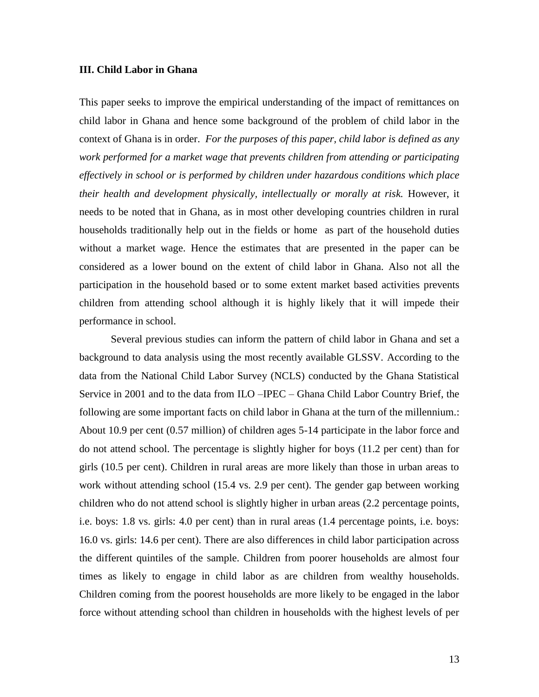#### **III. Child Labor in Ghana**

This paper seeks to improve the empirical understanding of the impact of remittances on child labor in Ghana and hence some background of the problem of child labor in the context of Ghana is in order. *For the purposes of this paper, child labor is defined as any work performed for a market wage that prevents children from attending or participating effectively in school or is performed by children under hazardous conditions which place their health and development physically, intellectually or morally at risk.* However, it needs to be noted that in Ghana, as in most other developing countries children in rural households traditionally help out in the fields or home as part of the household duties without a market wage. Hence the estimates that are presented in the paper can be considered as a lower bound on the extent of child labor in Ghana. Also not all the participation in the household based or to some extent market based activities prevents children from attending school although it is highly likely that it will impede their performance in school.

Several previous studies can inform the pattern of child labor in Ghana and set a background to data analysis using the most recently available GLSSV. According to the data from the National Child Labor Survey (NCLS) conducted by the Ghana Statistical Service in 2001 and to the data from ILO –IPEC – Ghana Child Labor Country Brief, the following are some important facts on child labor in Ghana at the turn of the millennium.: About 10.9 per cent (0.57 million) of children ages 5-14 participate in the labor force and do not attend school. The percentage is slightly higher for boys (11.2 per cent) than for girls (10.5 per cent). Children in rural areas are more likely than those in urban areas to work without attending school (15.4 vs. 2.9 per cent). The gender gap between working children who do not attend school is slightly higher in urban areas (2.2 percentage points, i.e. boys: 1.8 vs. girls: 4.0 per cent) than in rural areas (1.4 percentage points, i.e. boys: 16.0 vs. girls: 14.6 per cent). There are also differences in child labor participation across the different quintiles of the sample. Children from poorer households are almost four times as likely to engage in child labor as are children from wealthy households. Children coming from the poorest households are more likely to be engaged in the labor force without attending school than children in households with the highest levels of per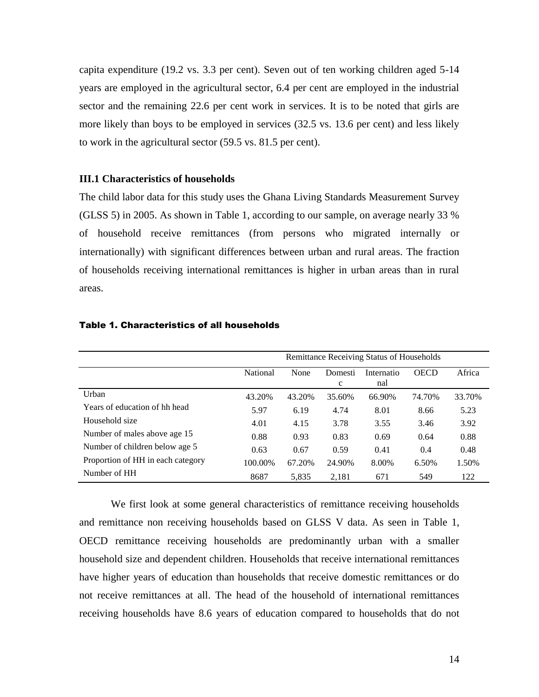capita expenditure (19.2 vs. 3.3 per cent). Seven out of ten working children aged 5-14 years are employed in the agricultural sector, 6.4 per cent are employed in the industrial sector and the remaining 22.6 per cent work in services. It is to be noted that girls are more likely than boys to be employed in services (32.5 vs. 13.6 per cent) and less likely to work in the agricultural sector (59.5 vs. 81.5 per cent).

#### **III.1 Characteristics of households**

The child labor data for this study uses the Ghana Living Standards Measurement Survey (GLSS 5) in 2005. As shown in Table 1, according to our sample, on average nearly 33 % of household receive remittances (from persons who migrated internally or internationally) with significant differences between urban and rural areas. The fraction of households receiving international remittances is higher in urban areas than in rural areas.

|                                   | Remittance Receiving Status of Households |        |                         |                   |             |        |  |  |
|-----------------------------------|-------------------------------------------|--------|-------------------------|-------------------|-------------|--------|--|--|
|                                   | <b>National</b>                           | None   | Domesti<br>$\mathbf{c}$ | Internatio<br>nal | <b>OECD</b> | Africa |  |  |
| Urban                             | 43.20%                                    | 43.20% | 35.60%                  | 66.90%            | 74.70%      | 33.70% |  |  |
| Years of education of hh head     | 5.97                                      | 6.19   | 4.74                    | 8.01              | 8.66        | 5.23   |  |  |
| Household size                    | 4.01                                      | 4.15   | 3.78                    | 3.55              | 3.46        | 3.92   |  |  |
| Number of males above age 15      | 0.88                                      | 0.93   | 0.83                    | 0.69              | 0.64        | 0.88   |  |  |
| Number of children below age 5    | 0.63                                      | 0.67   | 0.59                    | 0.41              | 0.4         | 0.48   |  |  |
| Proportion of HH in each category | 100.00%                                   | 67.20% | 24.90%                  | 8.00%             | 6.50%       | 1.50%  |  |  |
| Number of HH                      | 8687                                      | 5.835  | 2,181                   | 671               | 549         | 122    |  |  |

#### Table 1. Characteristics of all households

We first look at some general characteristics of remittance receiving households and remittance non receiving households based on GLSS V data. As seen in Table 1, OECD remittance receiving households are predominantly urban with a smaller household size and dependent children. Households that receive international remittances have higher years of education than households that receive domestic remittances or do not receive remittances at all. The head of the household of international remittances receiving households have 8.6 years of education compared to households that do not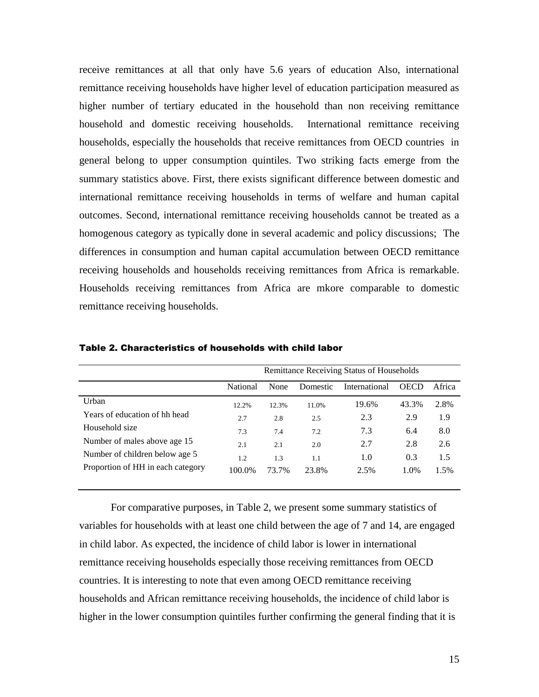receive remittances at all that only have 5.6 years of education Also, international remittance receiving households have higher level of education participation measured as higher number of tertiary educated in the household than non receiving remittance household and domestic receiving households. International remittance receiving households, especially the households that receive remittances from OECD countries in general belong to upper consumption quintiles. Two striking facts emerge from the summary statistics above. First, there exists significant difference between domestic and international remittance receiving households in terms of welfare and human capital outcomes. Second, international remittance receiving households cannot be treated as a homogenous category as typically done in several academic and policy discussions; The differences in consumption and human capital accumulation between OECD remittance receiving households and households receiving remittances from Africa is remarkable. Households receiving remittances from Africa are mkore comparable to domestic remittance receiving households.

|                                   | Remittance Receiving Status of Households |       |          |               |             |        |  |  |
|-----------------------------------|-------------------------------------------|-------|----------|---------------|-------------|--------|--|--|
|                                   | National                                  | None  | Domestic | International | <b>OECD</b> | Africa |  |  |
| Urban                             | 12.2%                                     | 12.3% | 11.0%    | 19.6%         | 43.3%       | 2.8%   |  |  |
| Years of education of hh head     | 2.7                                       | 2.8   | 2.5      | 2.3           | 2.9         | 1.9    |  |  |
| Household size                    | 7.3                                       | 7.4   | 7.2      | 7.3           | 6.4         | 8.0    |  |  |
| Number of males above age 15      | 2.1                                       | 2.1   | 2.0      | 2.7           | 2.8         | 2.6    |  |  |
| Number of children below age 5    | 1.2                                       | 1.3   | 1.1      | 1.0           | 0.3         | 1.5    |  |  |
| Proportion of HH in each category | 100.0%                                    | 73.7% | 23.8%    | 2.5%          | 1.0%        | 1.5%   |  |  |

Table 2. Characteristics of households with child labor

For comparative purposes, in Table 2, we present some summary statistics of variables for households with at least one child between the age of 7 and 14, are engaged in child labor. As expected, the incidence of child labor is lower in international remittance receiving households especially those receiving remittances from OECD countries. It is interesting to note that even among OECD remittance receiving households and African remittance receiving households, the incidence of child labor is higher in the lower consumption quintiles further confirming the general finding that it is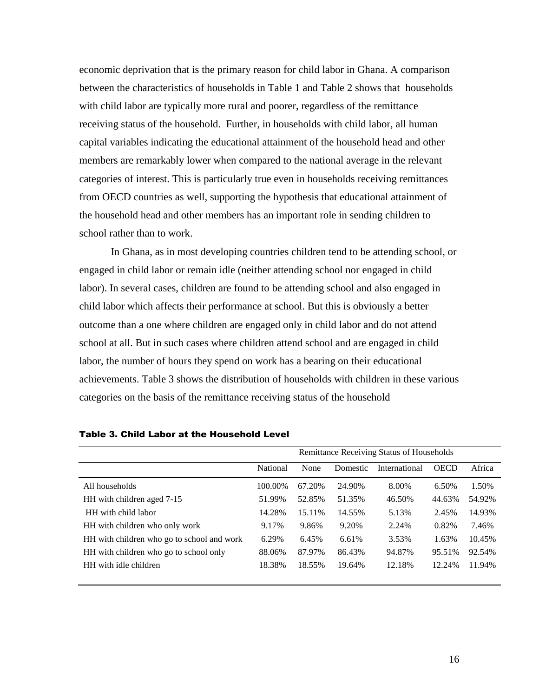economic deprivation that is the primary reason for child labor in Ghana. A comparison between the characteristics of households in Table 1 and Table 2 shows that households with child labor are typically more rural and poorer, regardless of the remittance receiving status of the household. Further, in households with child labor, all human capital variables indicating the educational attainment of the household head and other members are remarkably lower when compared to the national average in the relevant categories of interest. This is particularly true even in households receiving remittances from OECD countries as well, supporting the hypothesis that educational attainment of the household head and other members has an important role in sending children to school rather than to work.

In Ghana, as in most developing countries children tend to be attending school, or engaged in child labor or remain idle (neither attending school nor engaged in child labor). In several cases, children are found to be attending school and also engaged in child labor which affects their performance at school. But this is obviously a better outcome than a one where children are engaged only in child labor and do not attend school at all. But in such cases where children attend school and are engaged in child labor, the number of hours they spend on work has a bearing on their educational achievements. Table 3 shows the distribution of households with children in these various categories on the basis of the remittance receiving status of the household

|                                            | Remittance Receiving Status of Households |        |          |               |             |        |  |  |
|--------------------------------------------|-------------------------------------------|--------|----------|---------------|-------------|--------|--|--|
|                                            | National                                  | None   | Domestic | International | <b>OECD</b> | Africa |  |  |
| All households                             | 100.00%                                   | 67.20% | 24.90%   | 8.00%         | 6.50%       | 1.50%  |  |  |
| HH with children aged 7-15                 | 51.99%                                    | 52.85% | 51.35%   | 46.50%        | 44.63%      | 54.92% |  |  |
| HH with child labor                        | 14.28%                                    | 15.11% | 14.55%   | 5.13%         | 2.45%       | 14.93% |  |  |
| HH with children who only work             | 9.17%                                     | 9.86%  | 9.20%    | 2.24%         | 0.82%       | 7.46%  |  |  |
| HH with children who go to school and work | 6.29%                                     | 6.45%  | 6.61%    | 3.53%         | 1.63%       | 10.45% |  |  |
| HH with children who go to school only     | 88.06%                                    | 87.97% | 86.43%   | 94.87%        | 95.51%      | 92.54% |  |  |
| HH with idle children                      | 18.38%                                    | 18.55% | 19.64%   | 12.18%        | 12.24%      | 11.94% |  |  |

Table 3. Child Labor at the Household Level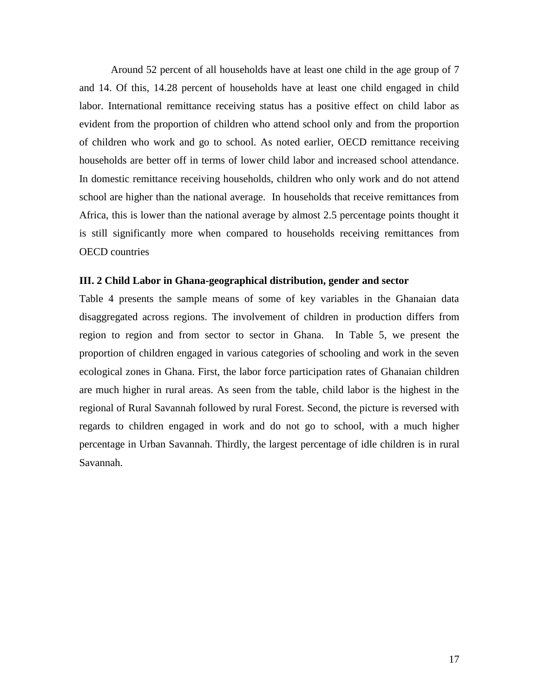Around 52 percent of all households have at least one child in the age group of 7 and 14. Of this, 14.28 percent of households have at least one child engaged in child labor. International remittance receiving status has a positive effect on child labor as evident from the proportion of children who attend school only and from the proportion of children who work and go to school. As noted earlier, OECD remittance receiving households are better off in terms of lower child labor and increased school attendance. In domestic remittance receiving households, children who only work and do not attend school are higher than the national average. In households that receive remittances from Africa, this is lower than the national average by almost 2.5 percentage points thought it is still significantly more when compared to households receiving remittances from OECD countries

#### **III. 2 Child Labor in Ghana-geographical distribution, gender and sector**

Table 4 presents the sample means of some of key variables in the Ghanaian data disaggregated across regions. The involvement of children in production differs from region to region and from sector to sector in Ghana. In Table 5, we present the proportion of children engaged in various categories of schooling and work in the seven ecological zones in Ghana. First, the labor force participation rates of Ghanaian children are much higher in rural areas. As seen from the table, child labor is the highest in the regional of Rural Savannah followed by rural Forest. Second, the picture is reversed with regards to children engaged in work and do not go to school, with a much higher percentage in Urban Savannah. Thirdly, the largest percentage of idle children is in rural Savannah.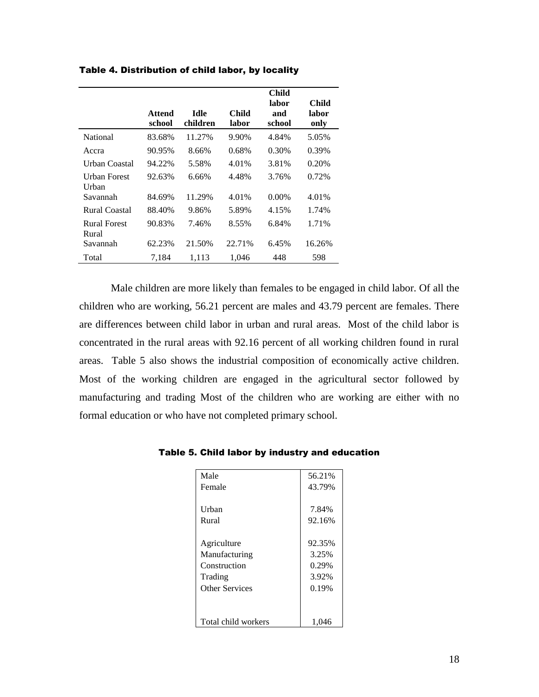|                              | <b>Attend</b><br>school | <b>Idle</b><br>children | <b>Child</b><br>labor | Child<br>labor<br>and<br>school | Child<br>labor<br>only |
|------------------------------|-------------------------|-------------------------|-----------------------|---------------------------------|------------------------|
| National                     | 83.68%                  | 11.27%                  | 9.90%                 | 4.84%                           | 5.05%                  |
|                              |                         |                         |                       |                                 |                        |
| Accra                        | 90.95%                  | 8.66%                   | 0.68%                 | 0.30%                           | 0.39%                  |
| Urban Coastal                | 94.22%                  | 5.58%                   | 4.01%                 | 3.81%                           | 0.20%                  |
| Urban Forest<br>Urban        | 92.63%                  | 6.66%                   | 4.48%                 | 3.76%                           | 0.72%                  |
| Savannah                     | 84.69%                  | 11.29%                  | 4.01%                 | $0.00\%$                        | 4.01%                  |
| Rural Coastal                | 88.40%                  | 9.86%                   | 5.89%                 | 4.15%                           | 1.74%                  |
| <b>Rural Forest</b><br>Rural | 90.83%                  | 7.46%                   | 8.55%                 | 6.84%                           | 1.71%                  |
| Savannah                     | 62.23%                  | 21.50%                  | 22.71%                | 6.45%                           | 16.26%                 |
| Total                        | 7,184                   | 1,113                   | 1,046                 | 448                             | 598                    |

Table 4. Distribution of child labor, by locality

Male children are more likely than females to be engaged in child labor. Of all the children who are working, 56.21 percent are males and 43.79 percent are females. There are differences between child labor in urban and rural areas. Most of the child labor is concentrated in the rural areas with 92.16 percent of all working children found in rural areas. Table 5 also shows the industrial composition of economically active children. Most of the working children are engaged in the agricultural sector followed by manufacturing and trading Most of the children who are working are either with no formal education or who have not completed primary school.

| Male                  | 56.21% |
|-----------------------|--------|
| Female                | 43.79% |
|                       |        |
| Urban                 | 7.84%  |
| Rural                 | 92.16% |
|                       |        |
| Agriculture           | 92.35% |
| Manufacturing         | 3.25%  |
| Construction          | 0.29%  |
| Trading               | 3.92%  |
| <b>Other Services</b> | 0.19%  |
|                       |        |
|                       |        |
| Total child workers   | 1,046  |

Table 5. Child labor by industry and education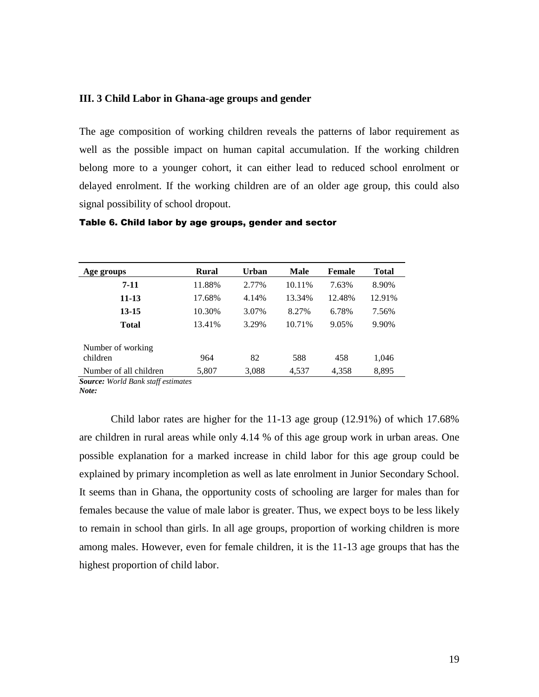#### **III. 3 Child Labor in Ghana-age groups and gender**

The age composition of working children reveals the patterns of labor requirement as well as the possible impact on human capital accumulation. If the working children belong more to a younger cohort, it can either lead to reduced school enrolment or delayed enrolment. If the working children are of an older age group, this could also signal possibility of school dropout.

| Age groups                    | <b>Rural</b> | Urban | Male   | Female | <b>Total</b> |
|-------------------------------|--------------|-------|--------|--------|--------------|
| 7-11                          | 11.88%       | 2.77% | 10.11% | 7.63%  | 8.90%        |
| $11 - 13$                     | 17.68%       | 4.14% | 13.34% | 12.48% | 12.91%       |
| $13 - 15$                     | 10.30%       | 3.07% | 8.27%  | 6.78%  | 7.56%        |
| <b>Total</b>                  | 13.41%       | 3.29% | 10.71% | 9.05%  | 9.90%        |
| Number of working<br>children | 964          | 82    | 588    | 458    | 1,046        |
| Number of all children        | 5,807        | 3,088 | 4,537  | 4,358  | 8,895        |

#### Table 6. Child labor by age groups, gender and sector

*Source: World Bank staff estimates Note:*

Child labor rates are higher for the 11-13 age group (12.91%) of which 17.68% are children in rural areas while only 4.14 % of this age group work in urban areas. One possible explanation for a marked increase in child labor for this age group could be explained by primary incompletion as well as late enrolment in Junior Secondary School. It seems than in Ghana, the opportunity costs of schooling are larger for males than for females because the value of male labor is greater. Thus, we expect boys to be less likely to remain in school than girls. In all age groups, proportion of working children is more among males. However, even for female children, it is the 11-13 age groups that has the highest proportion of child labor.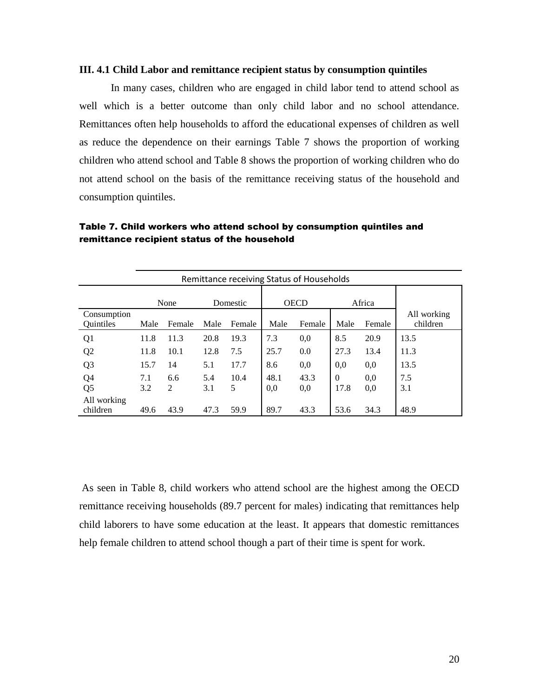#### **III. 4.1 Child Labor and remittance recipient status by consumption quintiles**

In many cases, children who are engaged in child labor tend to attend school as well which is a better outcome than only child labor and no school attendance. Remittances often help households to afford the educational expenses of children as well as reduce the dependence on their earnings Table 7 shows the proportion of working children who attend school and Table 8 shows the proportion of working children who do not attend school on the basis of the remittance receiving status of the household and consumption quintiles.

| Remittance receiving Status of Households |      |        |          |        |             |        |          |        |                         |
|-------------------------------------------|------|--------|----------|--------|-------------|--------|----------|--------|-------------------------|
|                                           |      | None   | Domestic |        | <b>OECD</b> |        | Africa   |        |                         |
| Consumption<br><b>Ouintiles</b>           | Male | Female | Male     | Female | Male        | Female | Male     | Female | All working<br>children |
| Q <sub>1</sub>                            | 11.8 | 11.3   | 20.8     | 19.3   | 7.3         | 0,0    | 8.5      | 20.9   | 13.5                    |
| Q <sub>2</sub>                            | 11.8 | 10.1   | 12.8     | 7.5    | 25.7        | 0.0    | 27.3     | 13.4   | 11.3                    |
| Q <sub>3</sub>                            | 15.7 | 14     | 5.1      | 17.7   | 8.6         | 0,0    | 0.0      | 0,0    | 13.5                    |
| Q <sub>4</sub>                            | 7.1  | 6.6    | 5.4      | 10.4   | 48.1        | 43.3   | $\Omega$ | 0,0    | 7.5                     |
| Q <sub>5</sub>                            | 3.2  | 2      | 3.1      | 5      | 0.0         | 0,0    | 17.8     | 0.0    | 3.1                     |
| All working                               |      |        |          |        |             |        |          |        |                         |
| children                                  | 49.6 | 43.9   | 47.3     | 59.9   | 89.7        | 43.3   | 53.6     | 34.3   | 48.9                    |

## Table 7. Child workers who attend school by consumption quintiles and remittance recipient status of the household

As seen in Table 8, child workers who attend school are the highest among the OECD remittance receiving households (89.7 percent for males) indicating that remittances help child laborers to have some education at the least. It appears that domestic remittances help female children to attend school though a part of their time is spent for work.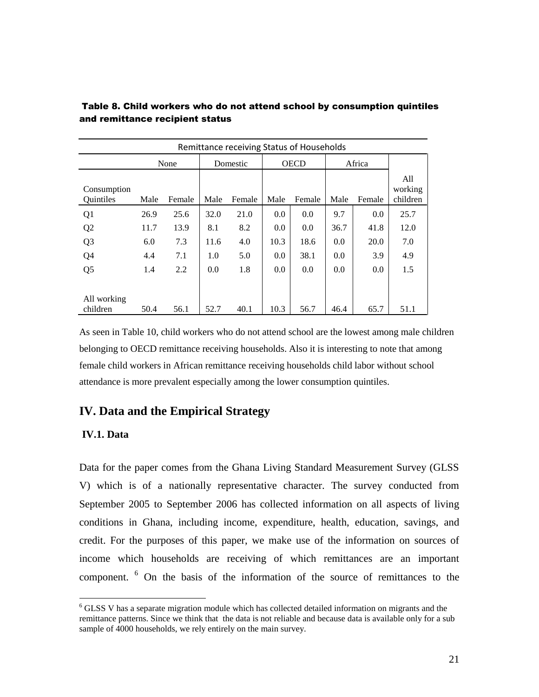| Remittance receiving Status of Households |      |        |      |          |      |             |      |        |                            |
|-------------------------------------------|------|--------|------|----------|------|-------------|------|--------|----------------------------|
|                                           |      | None   |      | Domestic |      | <b>OECD</b> |      | Africa |                            |
| Consumption<br>Quintiles                  | Male | Female | Male | Female   | Male | Female      | Male | Female | All<br>working<br>children |
| Q <sub>1</sub>                            | 26.9 | 25.6   | 32.0 | 21.0     | 0.0  | 0.0         | 9.7  | 0.0    | 25.7                       |
| Q <sub>2</sub>                            | 11.7 | 13.9   | 8.1  | 8.2      | 0.0  | 0.0         | 36.7 | 41.8   | 12.0                       |
| Q <sub>3</sub>                            | 6.0  | 7.3    | 11.6 | 4.0      | 10.3 | 18.6        | 0.0  | 20.0   | 7.0                        |
| Q <sub>4</sub>                            | 4.4  | 7.1    | 1.0  | 5.0      | 0.0  | 38.1        | 0.0  | 3.9    | 4.9                        |
| Q <sub>5</sub>                            | 1.4  | 2.2    | 0.0  | 1.8      | 0.0  | 0.0         | 0.0  | 0.0    | 1.5                        |
|                                           |      |        |      |          |      |             |      |        |                            |
| All working<br>children                   | 50.4 | 56.1   | 52.7 | 40.1     | 10.3 | 56.7        | 46.4 | 65.7   | 51.1                       |

Table 8. Child workers who do not attend school by consumption quintiles and remittance recipient status

As seen in Table 10, child workers who do not attend school are the lowest among male children belonging to OECD remittance receiving households. Also it is interesting to note that among female child workers in African remittance receiving households child labor without school attendance is more prevalent especially among the lower consumption quintiles.

# **IV. Data and the Empirical Strategy**

## **IV.1. Data**

 $\overline{a}$ 

Data for the paper comes from the Ghana Living Standard Measurement Survey (GLSS V) which is of a nationally representative character. The survey conducted from September 2005 to September 2006 has collected information on all aspects of living conditions in Ghana, including income, expenditure, health, education, savings, and credit. For the purposes of this paper, we make use of the information on sources of income which households are receiving of which remittances are an important component. <sup>6</sup> On the basis of the information of the source of remittances to the

 $6$  GLSS V has a separate migration module which has collected detailed information on migrants and the remittance patterns. Since we think that the data is not reliable and because data is available only for a sub sample of 4000 households, we rely entirely on the main survey.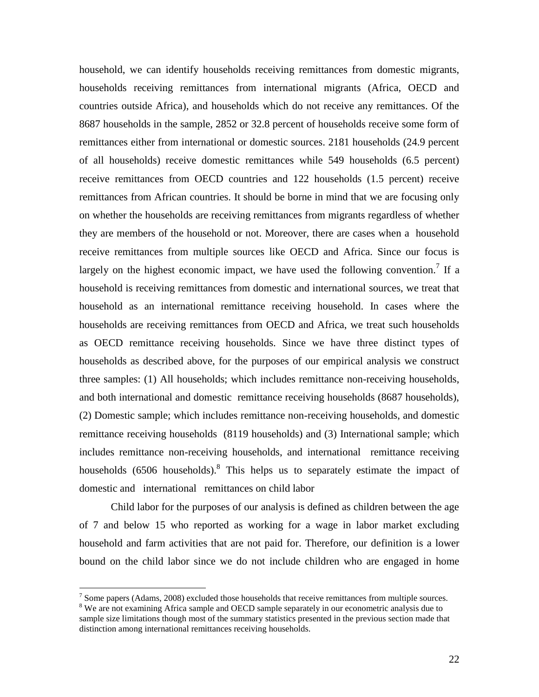household, we can identify households receiving remittances from domestic migrants, households receiving remittances from international migrants (Africa, OECD and countries outside Africa), and households which do not receive any remittances. Of the 8687 households in the sample, 2852 or 32.8 percent of households receive some form of remittances either from international or domestic sources. 2181 households (24.9 percent of all households) receive domestic remittances while 549 households (6.5 percent) receive remittances from OECD countries and 122 households (1.5 percent) receive remittances from African countries. It should be borne in mind that we are focusing only on whether the households are receiving remittances from migrants regardless of whether they are members of the household or not. Moreover, there are cases when a household receive remittances from multiple sources like OECD and Africa. Since our focus is largely on the highest economic impact, we have used the following convention.<sup>7</sup> If a household is receiving remittances from domestic and international sources, we treat that household as an international remittance receiving household. In cases where the households are receiving remittances from OECD and Africa, we treat such households as OECD remittance receiving households. Since we have three distinct types of households as described above, for the purposes of our empirical analysis we construct three samples: (1) All households; which includes remittance non-receiving households, and both international and domestic remittance receiving households (8687 households), (2) Domestic sample; which includes remittance non-receiving households, and domestic remittance receiving households (8119 households) and (3) International sample; which includes remittance non-receiving households, and international remittance receiving households  $(6506 \text{ households})$ .<sup>8</sup> This helps us to separately estimate the impact of domestic and international remittances on child labor

Child labor for the purposes of our analysis is defined as children between the age of 7 and below 15 who reported as working for a wage in labor market excluding household and farm activities that are not paid for. Therefore, our definition is a lower bound on the child labor since we do not include children who are engaged in home

 $\overline{a}$ 

 $<sup>7</sup>$  Some papers (Adams, 2008) excluded those households that receive remittances from multiple sources.</sup>

<sup>&</sup>lt;sup>8</sup> We are not examining Africa sample and OECD sample separately in our econometric analysis due to sample size limitations though most of the summary statistics presented in the previous section made that distinction among international remittances receiving households.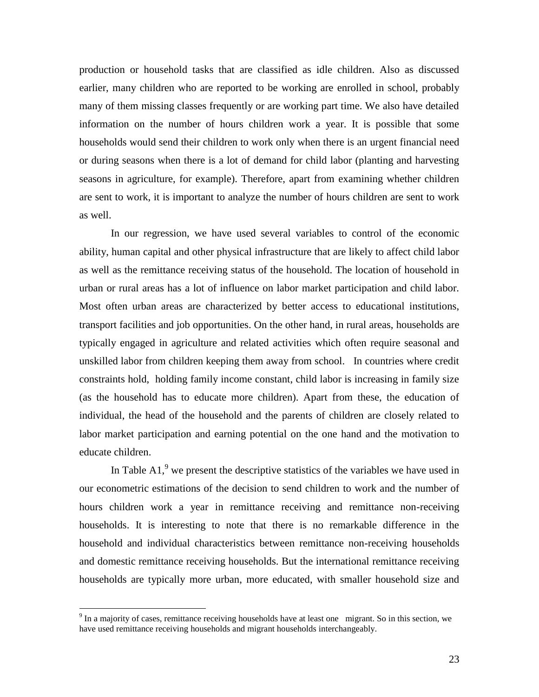production or household tasks that are classified as idle children. Also as discussed earlier, many children who are reported to be working are enrolled in school, probably many of them missing classes frequently or are working part time. We also have detailed information on the number of hours children work a year. It is possible that some households would send their children to work only when there is an urgent financial need or during seasons when there is a lot of demand for child labor (planting and harvesting seasons in agriculture, for example). Therefore, apart from examining whether children are sent to work, it is important to analyze the number of hours children are sent to work as well.

In our regression, we have used several variables to control of the economic ability, human capital and other physical infrastructure that are likely to affect child labor as well as the remittance receiving status of the household. The location of household in urban or rural areas has a lot of influence on labor market participation and child labor. Most often urban areas are characterized by better access to educational institutions, transport facilities and job opportunities. On the other hand, in rural areas, households are typically engaged in agriculture and related activities which often require seasonal and unskilled labor from children keeping them away from school. In countries where credit constraints hold, holding family income constant, child labor is increasing in family size (as the household has to educate more children). Apart from these, the education of individual, the head of the household and the parents of children are closely related to labor market participation and earning potential on the one hand and the motivation to educate children.

In Table A1,<sup>9</sup> we present the descriptive statistics of the variables we have used in our econometric estimations of the decision to send children to work and the number of hours children work a year in remittance receiving and remittance non-receiving households. It is interesting to note that there is no remarkable difference in the household and individual characteristics between remittance non-receiving households and domestic remittance receiving households. But the international remittance receiving households are typically more urban, more educated, with smaller household size and

 $\overline{a}$ 

 $9<sup>9</sup>$  In a majority of cases, remittance receiving households have at least one migrant. So in this section, we have used remittance receiving households and migrant households interchangeably.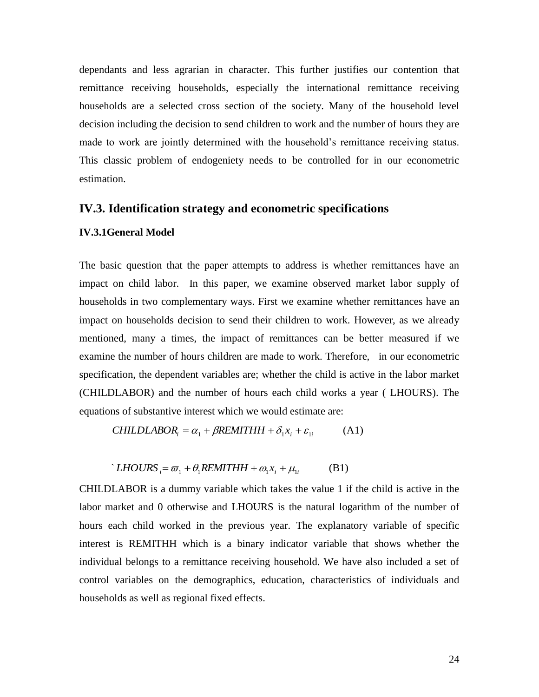dependants and less agrarian in character. This further justifies our contention that remittance receiving households, especially the international remittance receiving households are a selected cross section of the society. Many of the household level decision including the decision to send children to work and the number of hours they are made to work are jointly determined with the household's remittance receiving status. This classic problem of endogeniety needs to be controlled for in our econometric estimation.

#### **IV.3. Identification strategy and econometric specifications**

## **IV.3.1General Model**

The basic question that the paper attempts to address is whether remittances have an impact on child labor. In this paper, we examine observed market labor supply of households in two complementary ways. First we examine whether remittances have an impact on households decision to send their children to work. However, as we already mentioned, many a times, the impact of remittances can be better measured if we examine the number of hours children are made to work. Therefore, in our econometric specification, the dependent variables are; whether the child is active in the labor market (CHILDLABOR) and the number of hours each child works a year ( LHOURS). The equations of substantive interest which we would estimate are:

$$
CHILDLABOR_i = \alpha_1 + \beta REMITHH + \delta_1 x_i + \varepsilon_{1i} \tag{A1}
$$

$$
LHOURS_i = \varpi_1 + \theta_1 REMITHH + \omega_1 x_i + \mu_{1i}
$$
 (B1)

CHILDLABOR is a dummy variable which takes the value 1 if the child is active in the labor market and 0 otherwise and LHOURS is the natural logarithm of the number of hours each child worked in the previous year. The explanatory variable of specific interest is REMITHH which is a binary indicator variable that shows whether the individual belongs to a remittance receiving household. We have also included a set of control variables on the demographics, education, characteristics of individuals and households as well as regional fixed effects.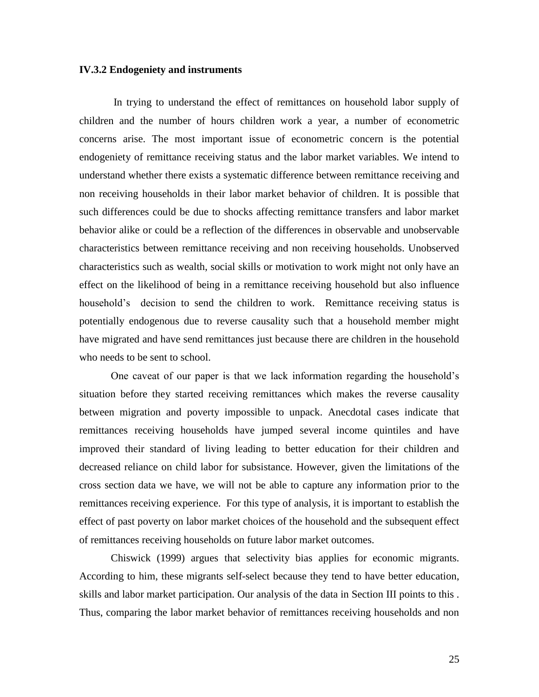#### **IV.3.2 Endogeniety and instruments**

In trying to understand the effect of remittances on household labor supply of children and the number of hours children work a year, a number of econometric concerns arise. The most important issue of econometric concern is the potential endogeniety of remittance receiving status and the labor market variables. We intend to understand whether there exists a systematic difference between remittance receiving and non receiving households in their labor market behavior of children. It is possible that such differences could be due to shocks affecting remittance transfers and labor market behavior alike or could be a reflection of the differences in observable and unobservable characteristics between remittance receiving and non receiving households. Unobserved characteristics such as wealth, social skills or motivation to work might not only have an effect on the likelihood of being in a remittance receiving household but also influence household's decision to send the children to work. Remittance receiving status is potentially endogenous due to reverse causality such that a household member might have migrated and have send remittances just because there are children in the household who needs to be sent to school.

One caveat of our paper is that we lack information regarding the household"s situation before they started receiving remittances which makes the reverse causality between migration and poverty impossible to unpack. Anecdotal cases indicate that remittances receiving households have jumped several income quintiles and have improved their standard of living leading to better education for their children and decreased reliance on child labor for subsistance. However, given the limitations of the cross section data we have, we will not be able to capture any information prior to the remittances receiving experience. For this type of analysis, it is important to establish the effect of past poverty on labor market choices of the household and the subsequent effect of remittances receiving households on future labor market outcomes.

Chiswick (1999) argues that selectivity bias applies for economic migrants. According to him, these migrants self-select because they tend to have better education, skills and labor market participation. Our analysis of the data in Section III points to this . Thus, comparing the labor market behavior of remittances receiving households and non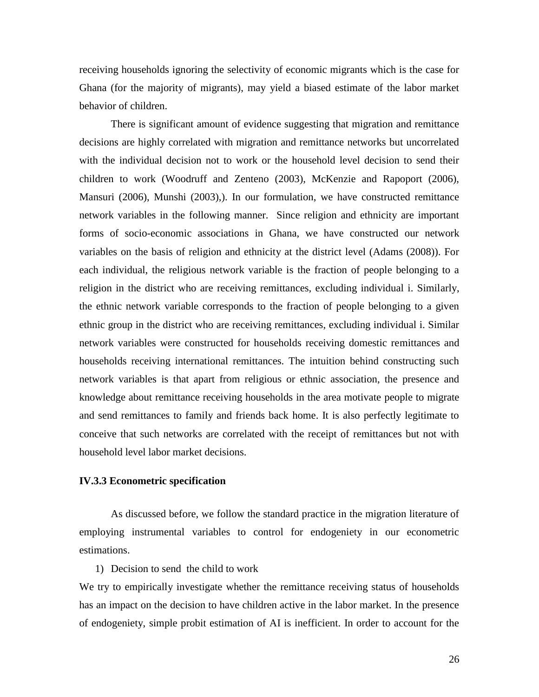receiving households ignoring the selectivity of economic migrants which is the case for Ghana (for the majority of migrants), may yield a biased estimate of the labor market behavior of children.

There is significant amount of evidence suggesting that migration and remittance decisions are highly correlated with migration and remittance networks but uncorrelated with the individual decision not to work or the household level decision to send their children to work (Woodruff and Zenteno (2003), McKenzie and Rapoport (2006), Mansuri (2006), Munshi (2003),). In our formulation, we have constructed remittance network variables in the following manner. Since religion and ethnicity are important forms of socio-economic associations in Ghana, we have constructed our network variables on the basis of religion and ethnicity at the district level (Adams (2008)). For each individual, the religious network variable is the fraction of people belonging to a religion in the district who are receiving remittances, excluding individual i. Similarly, the ethnic network variable corresponds to the fraction of people belonging to a given ethnic group in the district who are receiving remittances, excluding individual i. Similar network variables were constructed for households receiving domestic remittances and households receiving international remittances. The intuition behind constructing such network variables is that apart from religious or ethnic association, the presence and knowledge about remittance receiving households in the area motivate people to migrate and send remittances to family and friends back home. It is also perfectly legitimate to conceive that such networks are correlated with the receipt of remittances but not with household level labor market decisions.

#### **IV.3.3 Econometric specification**

As discussed before, we follow the standard practice in the migration literature of employing instrumental variables to control for endogeniety in our econometric estimations.

#### 1) Decision to send the child to work

We try to empirically investigate whether the remittance receiving status of households has an impact on the decision to have children active in the labor market. In the presence of endogeniety, simple probit estimation of AI is inefficient. In order to account for the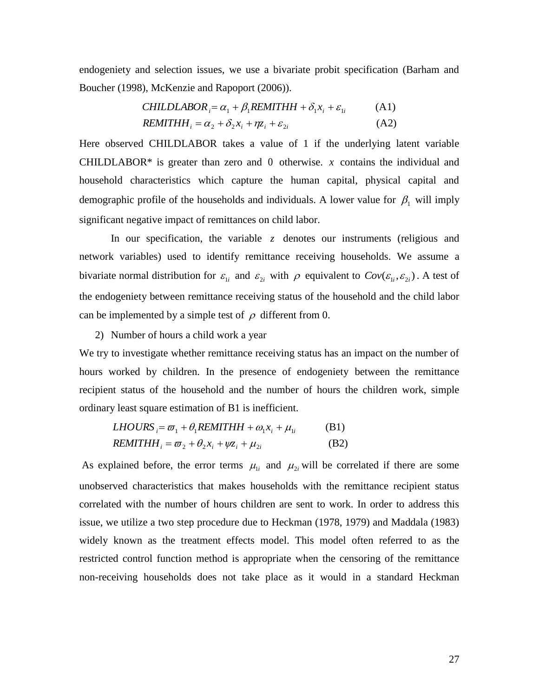endogeniety and selection issues, we use a bivariate probit specification (Barham and Boucher (1998), McKenzie and Rapoport (2006)).

CHILDLABOR<sub>i</sub> = 
$$
\alpha_1 + \beta_1 REMITHH + \delta_1 x_i + \varepsilon_{1i}
$$
 (A1)  
REMITHH<sub>i</sub> =  $\alpha_2 + \delta_2 x_i + \eta z_i + \varepsilon_{2i}$  (A2)

Here observed CHILDLABOR takes a value of 1 if the underlying latent variable CHILDLABOR $*$  is greater than zero and 0 otherwise.  $x$  contains the individual and household characteristics which capture the human capital, physical capital and demographic profile of the households and individuals. A lower value for  $\beta_1$  will imply significant negative impact of remittances on child labor.

In our specification, the variable  $z$  denotes our instruments (religious and network variables) used to identify remittance receiving households. We assume a bivariate normal distribution for  $\varepsilon_{1i}$  and  $\varepsilon_{2i}$  with  $\rho$  equivalent to  $Cov(\varepsilon_{1i}, \varepsilon_{2i})$ . A test of the endogeniety between remittance receiving status of the household and the child labor can be implemented by a simple test of  $\rho$  different from 0.

2) Number of hours a child work a year

We try to investigate whether remittance receiving status has an impact on the number of hours worked by children. In the presence of endogeniety between the remittance recipient status of the household and the number of hours the children work, simple ordinary least square estimation of B1 is inefficient.

$$
LHOURS_i = \varpi_1 + \theta_1 REMITHH + \omega_1 x_i + \mu_{1i}
$$
 (B1)  
REMITHH<sub>i</sub> =  $\varpi_2 + \theta_2 x_i + \psi z_i + \mu_{2i}$  (B2)

As explained before, the error terms  $\mu_{1i}$  and  $\mu_{2i}$  will be correlated if there are some unobserved characteristics that makes households with the remittance recipient status correlated with the number of hours children are sent to work. In order to address this issue, we utilize a two step procedure due to Heckman (1978, 1979) and Maddala (1983) widely known as the treatment effects model. This model often referred to as the restricted control function method is appropriate when the censoring of the remittance non-receiving households does not take place as it would in a standard Heckman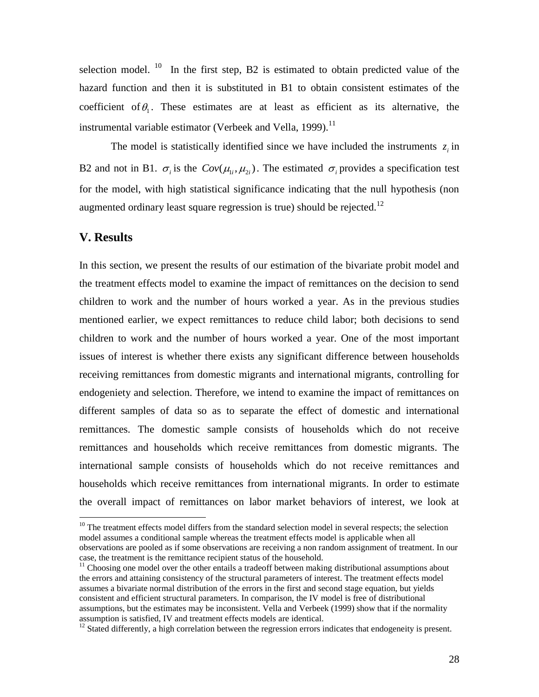selection model. <sup>10</sup> In the first step, B2 is estimated to obtain predicted value of the hazard function and then it is substituted in B1 to obtain consistent estimates of the coefficient of  $\theta_1$ . These estimates are at least as efficient as its alternative, the instrumental variable estimator (Verbeek and Vella, 1999).<sup>11</sup>

The model is statistically identified since we have included the instruments  $z_i$  in B2 and not in B1.  $\sigma_i$  is the  $Cov(\mu_{1i}, \mu_{2i})$ . The estimated  $\sigma_i$  provides a specification test for the model, with high statistical significance indicating that the null hypothesis (non augmented ordinary least square regression is true) should be rejected.<sup>12</sup>

## **V. Results**

 $\overline{a}$ 

In this section, we present the results of our estimation of the bivariate probit model and the treatment effects model to examine the impact of remittances on the decision to send children to work and the number of hours worked a year. As in the previous studies mentioned earlier, we expect remittances to reduce child labor; both decisions to send children to work and the number of hours worked a year. One of the most important issues of interest is whether there exists any significant difference between households receiving remittances from domestic migrants and international migrants, controlling for endogeniety and selection. Therefore, we intend to examine the impact of remittances on different samples of data so as to separate the effect of domestic and international remittances. The domestic sample consists of households which do not receive remittances and households which receive remittances from domestic migrants. The international sample consists of households which do not receive remittances and households which receive remittances from international migrants. In order to estimate the overall impact of remittances on labor market behaviors of interest, we look at

<sup>&</sup>lt;sup>10</sup> The treatment effects model differs from the standard selection model in several respects; the selection model assumes a conditional sample whereas the treatment effects model is applicable when all observations are pooled as if some observations are receiving a non random assignment of treatment. In our case, the treatment is the remittance recipient status of the household.

 $11$  Choosing one model over the other entails a tradeoff between making distributional assumptions about the errors and attaining consistency of the structural parameters of interest. The treatment effects model assumes a bivariate normal distribution of the errors in the first and second stage equation, but yields consistent and efficient structural parameters. In comparison, the IV model is free of distributional assumptions, but the estimates may be inconsistent. Vella and Verbeek (1999) show that if the normality assumption is satisfied, IV and treatment effects models are identical.

<sup>&</sup>lt;sup>12</sup> Stated differently, a high correlation between the regression errors indicates that endogeneity is present.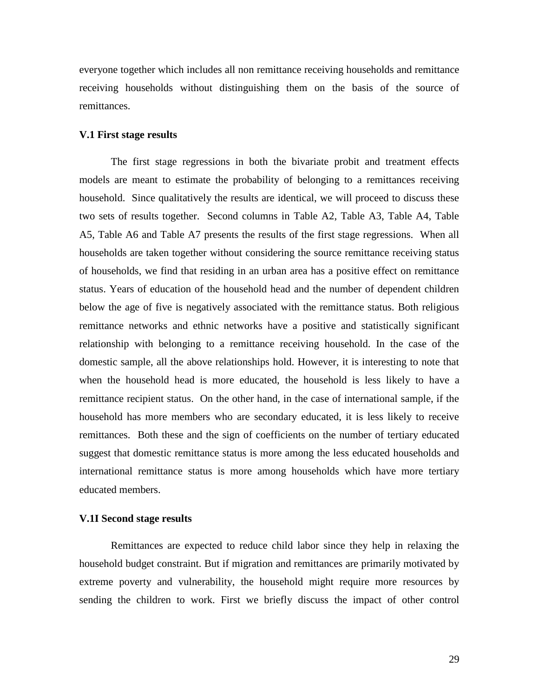everyone together which includes all non remittance receiving households and remittance receiving households without distinguishing them on the basis of the source of remittances.

#### **V.1 First stage results**

The first stage regressions in both the bivariate probit and treatment effects models are meant to estimate the probability of belonging to a remittances receiving household. Since qualitatively the results are identical, we will proceed to discuss these two sets of results together. Second columns in Table A2, Table A3, Table A4, Table A5, Table A6 and Table A7 presents the results of the first stage regressions. When all households are taken together without considering the source remittance receiving status of households, we find that residing in an urban area has a positive effect on remittance status. Years of education of the household head and the number of dependent children below the age of five is negatively associated with the remittance status. Both religious remittance networks and ethnic networks have a positive and statistically significant relationship with belonging to a remittance receiving household. In the case of the domestic sample, all the above relationships hold. However, it is interesting to note that when the household head is more educated, the household is less likely to have a remittance recipient status. On the other hand, in the case of international sample, if the household has more members who are secondary educated, it is less likely to receive remittances. Both these and the sign of coefficients on the number of tertiary educated suggest that domestic remittance status is more among the less educated households and international remittance status is more among households which have more tertiary educated members.

#### **V.1I Second stage results**

Remittances are expected to reduce child labor since they help in relaxing the household budget constraint. But if migration and remittances are primarily motivated by extreme poverty and vulnerability, the household might require more resources by sending the children to work. First we briefly discuss the impact of other control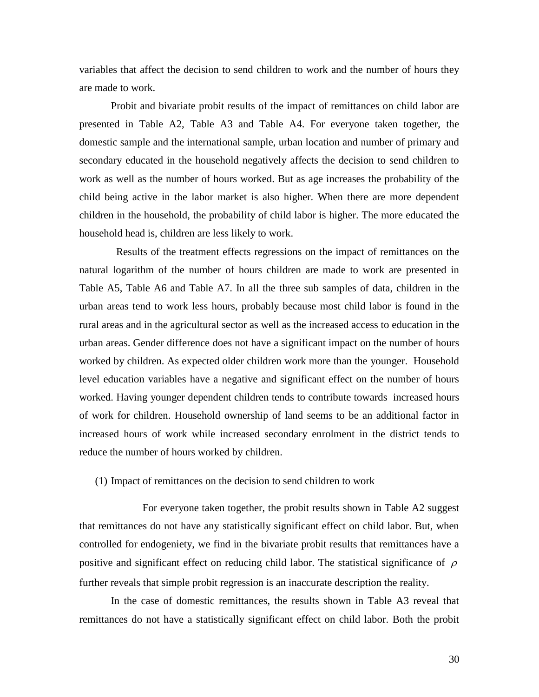variables that affect the decision to send children to work and the number of hours they are made to work.

Probit and bivariate probit results of the impact of remittances on child labor are presented in Table A2, Table A3 and Table A4. For everyone taken together, the domestic sample and the international sample, urban location and number of primary and secondary educated in the household negatively affects the decision to send children to work as well as the number of hours worked. But as age increases the probability of the child being active in the labor market is also higher. When there are more dependent children in the household, the probability of child labor is higher. The more educated the household head is, children are less likely to work.

 Results of the treatment effects regressions on the impact of remittances on the natural logarithm of the number of hours children are made to work are presented in Table A5, Table A6 and Table A7. In all the three sub samples of data, children in the urban areas tend to work less hours, probably because most child labor is found in the rural areas and in the agricultural sector as well as the increased access to education in the urban areas. Gender difference does not have a significant impact on the number of hours worked by children. As expected older children work more than the younger. Household level education variables have a negative and significant effect on the number of hours worked. Having younger dependent children tends to contribute towards increased hours of work for children. Household ownership of land seems to be an additional factor in increased hours of work while increased secondary enrolment in the district tends to reduce the number of hours worked by children.

(1) Impact of remittances on the decision to send children to work

For everyone taken together, the probit results shown in Table A2 suggest that remittances do not have any statistically significant effect on child labor. But, when controlled for endogeniety, we find in the bivariate probit results that remittances have a positive and significant effect on reducing child labor. The statistical significance of  $\rho$ further reveals that simple probit regression is an inaccurate description the reality.

In the case of domestic remittances, the results shown in Table A3 reveal that remittances do not have a statistically significant effect on child labor. Both the probit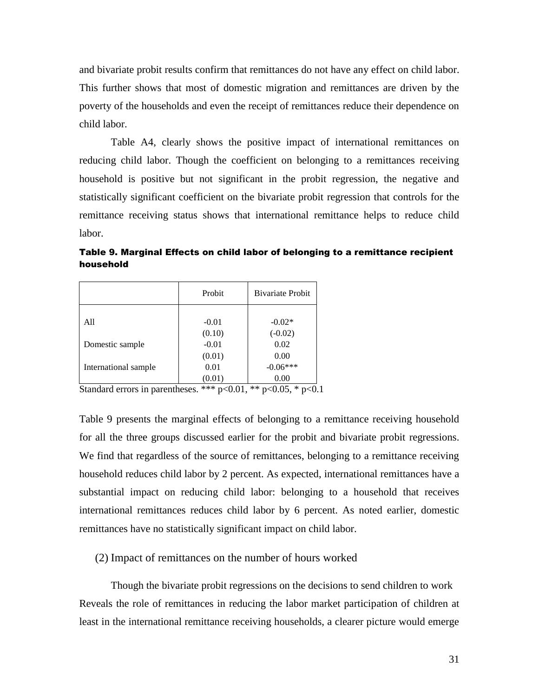and bivariate probit results confirm that remittances do not have any effect on child labor. This further shows that most of domestic migration and remittances are driven by the poverty of the households and even the receipt of remittances reduce their dependence on child labor.

Table A4, clearly shows the positive impact of international remittances on reducing child labor. Though the coefficient on belonging to a remittances receiving household is positive but not significant in the probit regression, the negative and statistically significant coefficient on the bivariate probit regression that controls for the remittance receiving status shows that international remittance helps to reduce child labor.

Table 9. Marginal Effects on child labor of belonging to a remittance recipient

household Probit | Bivariate Probit

|                         | Probit       | <b>Bivariate Probit</b>  |
|-------------------------|--------------|--------------------------|
|                         |              |                          |
| All                     | $-0.01$      | $-0.02*$                 |
|                         | (0.10)       | $(-0.02)$                |
| Domestic sample         | $-0.01$      | 0.02                     |
|                         | (0.01)       | 0.00                     |
| International sample    | 0.01         | $-0.06***$               |
|                         | (0.01)       | 0.00                     |
| $\alpha$ , 1 1 $\alpha$ | $444 - 0.01$ | 44.007<br>$\cdot$ $\sim$ |

Standard errors in parentheses. \*\*\* p<0.01, \*\* p<0.05, \* p<0.1

Table 9 presents the marginal effects of belonging to a remittance receiving household for all the three groups discussed earlier for the probit and bivariate probit regressions. We find that regardless of the source of remittances, belonging to a remittance receiving household reduces child labor by 2 percent. As expected, international remittances have a substantial impact on reducing child labor: belonging to a household that receives international remittances reduces child labor by 6 percent. As noted earlier, domestic remittances have no statistically significant impact on child labor.

## (2) Impact of remittances on the number of hours worked

Though the bivariate probit regressions on the decisions to send children to work Reveals the role of remittances in reducing the labor market participation of children at least in the international remittance receiving households, a clearer picture would emerge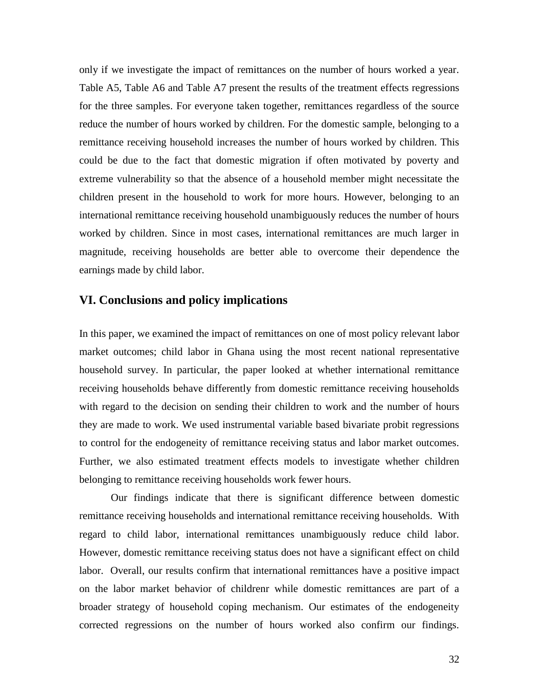only if we investigate the impact of remittances on the number of hours worked a year. Table A5, Table A6 and Table A7 present the results of the treatment effects regressions for the three samples. For everyone taken together, remittances regardless of the source reduce the number of hours worked by children. For the domestic sample, belonging to a remittance receiving household increases the number of hours worked by children. This could be due to the fact that domestic migration if often motivated by poverty and extreme vulnerability so that the absence of a household member might necessitate the children present in the household to work for more hours. However, belonging to an international remittance receiving household unambiguously reduces the number of hours worked by children. Since in most cases, international remittances are much larger in magnitude, receiving households are better able to overcome their dependence the earnings made by child labor.

## **VI. Conclusions and policy implications**

In this paper, we examined the impact of remittances on one of most policy relevant labor market outcomes; child labor in Ghana using the most recent national representative household survey. In particular, the paper looked at whether international remittance receiving households behave differently from domestic remittance receiving households with regard to the decision on sending their children to work and the number of hours they are made to work. We used instrumental variable based bivariate probit regressions to control for the endogeneity of remittance receiving status and labor market outcomes. Further, we also estimated treatment effects models to investigate whether children belonging to remittance receiving households work fewer hours.

Our findings indicate that there is significant difference between domestic remittance receiving households and international remittance receiving households. With regard to child labor, international remittances unambiguously reduce child labor. However, domestic remittance receiving status does not have a significant effect on child labor. Overall, our results confirm that international remittances have a positive impact on the labor market behavior of childrenr while domestic remittances are part of a broader strategy of household coping mechanism. Our estimates of the endogeneity corrected regressions on the number of hours worked also confirm our findings.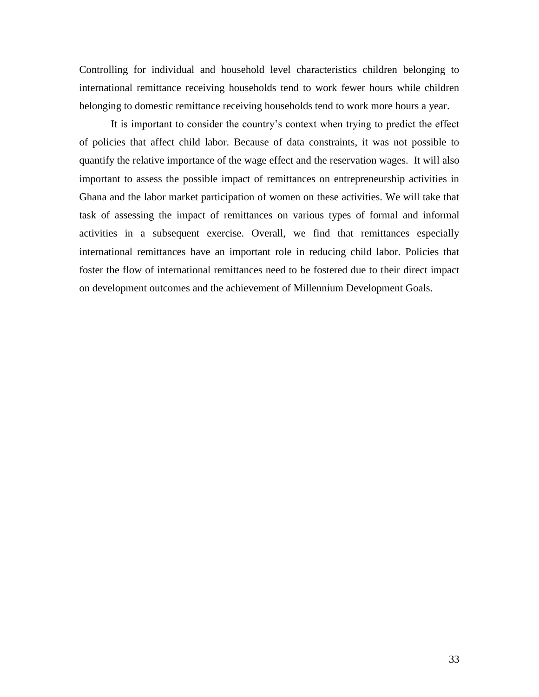Controlling for individual and household level characteristics children belonging to international remittance receiving households tend to work fewer hours while children belonging to domestic remittance receiving households tend to work more hours a year.

It is important to consider the country"s context when trying to predict the effect of policies that affect child labor. Because of data constraints, it was not possible to quantify the relative importance of the wage effect and the reservation wages. It will also important to assess the possible impact of remittances on entrepreneurship activities in Ghana and the labor market participation of women on these activities. We will take that task of assessing the impact of remittances on various types of formal and informal activities in a subsequent exercise. Overall, we find that remittances especially international remittances have an important role in reducing child labor. Policies that foster the flow of international remittances need to be fostered due to their direct impact on development outcomes and the achievement of Millennium Development Goals.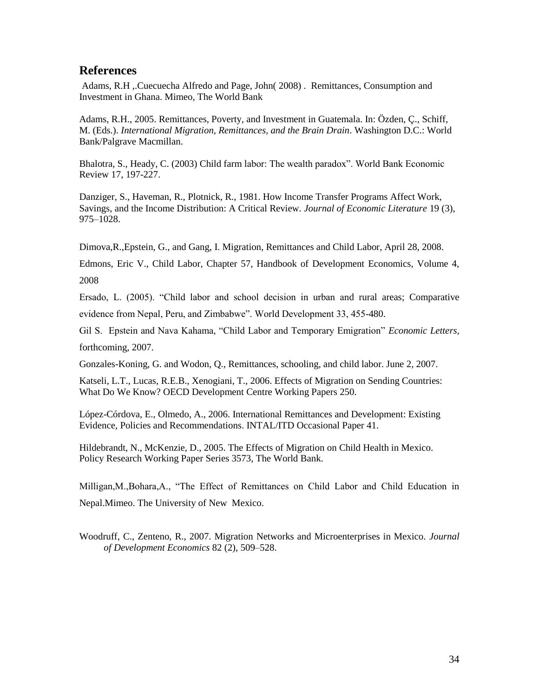## **References**

Adams, R.H ,.Cuecuecha Alfredo and Page, John( 2008) . Remittances, Consumption and Investment in Ghana. Mimeo, The World Bank

Adams, R.H., 2005. Remittances, Poverty, and Investment in Guatemala. In: Özden, Ç., Schiff, M. (Eds.). *International Migration, Remittances, and the Brain Drain*. Washington D.C.: World Bank/Palgrave Macmillan.

Bhalotra, S., Heady, C. (2003) Child farm labor: The wealth paradox". World Bank Economic Review 17, 197-227.

Danziger, S., Haveman, R., Plotnick, R., 1981. How Income Transfer Programs Affect Work, Savings, and the Income Distribution: A Critical Review. *Journal of Economic Literature* 19 (3), 975–1028.

Dimova,R.,Epstein, G., and Gang, I. Migration, Remittances and Child Labor, April 28, 2008.

Edmons, Eric V., Child Labor, Chapter 57, Handbook of Development Economics, Volume 4, 2008

Ersado, L. (2005). "Child labor and school decision in urban and rural areas; Comparative evidence from Nepal, Peru, and Zimbabwe". World Development 33, 455-480.

Gil S. Epstein and Nava Kahama, "Child Labor and Temporary Emigration" *Economic Letters,*  forthcoming, 2007.

Gonzales-Koning, G. and Wodon, Q., Remittances, schooling, and child labor. June 2, 2007.

Katseli, L.T., Lucas, R.E.B., Xenogiani, T., 2006. Effects of Migration on Sending Countries: What Do We Know? OECD Development Centre Working Papers 250.

López-Córdova, E., Olmedo, A., 2006. International Remittances and Development: Existing Evidence, Policies and Recommendations. INTAL/ITD Occasional Paper 41.

Hildebrandt, N., McKenzie, D., 2005. The Effects of Migration on Child Health in Mexico. Policy Research Working Paper Series 3573, The World Bank.

Milligan,M.,Bohara,A., "The Effect of Remittances on Child Labor and Child Education in Nepal.Mimeo. The University of New Mexico.

Woodruff, C., Zenteno, R., 2007. Migration Networks and Microenterprises in Mexico. *Journal of Development Economics* 82 (2), 509–528.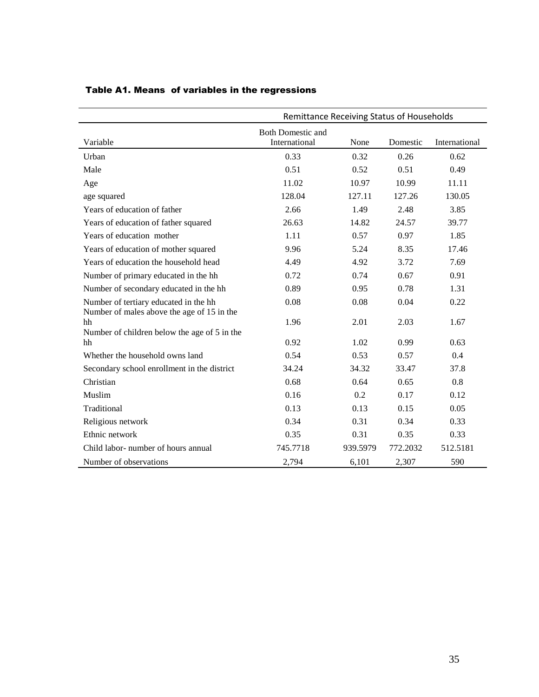|                                                                                     | Remittance Receiving Status of Households |          |          |               |  |  |
|-------------------------------------------------------------------------------------|-------------------------------------------|----------|----------|---------------|--|--|
| Variable                                                                            | <b>Both Domestic and</b><br>International | None     | Domestic | International |  |  |
| Urban                                                                               | 0.33                                      | 0.32     | 0.26     | 0.62          |  |  |
| Male                                                                                | 0.51                                      | 0.52     | 0.51     | 0.49          |  |  |
| Age                                                                                 | 11.02                                     | 10.97    | 10.99    | 11.11         |  |  |
| age squared                                                                         | 128.04                                    | 127.11   | 127.26   | 130.05        |  |  |
| Years of education of father                                                        | 2.66                                      | 1.49     | 2.48     | 3.85          |  |  |
| Years of education of father squared                                                | 26.63                                     | 14.82    | 24.57    | 39.77         |  |  |
| Years of education mother                                                           | 1.11                                      | 0.57     | 0.97     | 1.85          |  |  |
| Years of education of mother squared                                                | 9.96                                      | 5.24     | 8.35     | 17.46         |  |  |
| Years of education the household head                                               | 4.49                                      | 4.92     | 3.72     | 7.69          |  |  |
| Number of primary educated in the hh                                                | 0.72                                      | 0.74     | 0.67     | 0.91          |  |  |
| Number of secondary educated in the hh                                              | 0.89                                      | 0.95     | 0.78     | 1.31          |  |  |
| Number of tertiary educated in the hh<br>Number of males above the age of 15 in the | 0.08                                      | 0.08     | 0.04     | 0.22          |  |  |
| hh                                                                                  | 1.96                                      | 2.01     | 2.03     | 1.67          |  |  |
| Number of children below the age of 5 in the<br>hh                                  | 0.92                                      | 1.02     | 0.99     | 0.63          |  |  |
| Whether the household owns land                                                     | 0.54                                      | 0.53     | 0.57     | 0.4           |  |  |
| Secondary school enrollment in the district                                         | 34.24                                     | 34.32    | 33.47    | 37.8          |  |  |
| Christian                                                                           | 0.68                                      | 0.64     | 0.65     | 0.8           |  |  |
| Muslim                                                                              | 0.16                                      | 0.2      | 0.17     | 0.12          |  |  |
| Traditional                                                                         | 0.13                                      | 0.13     | 0.15     | 0.05          |  |  |
| Religious network                                                                   | 0.34                                      | 0.31     | 0.34     | 0.33          |  |  |
| Ethnic network                                                                      | 0.35                                      | 0.31     | 0.35     | 0.33          |  |  |
| Child labor- number of hours annual                                                 | 745.7718                                  | 939.5979 | 772.2032 | 512.5181      |  |  |
| Number of observations                                                              | 2,794                                     | 6,101    | 2,307    | 590           |  |  |

# Table A1. Means of variables in the regressions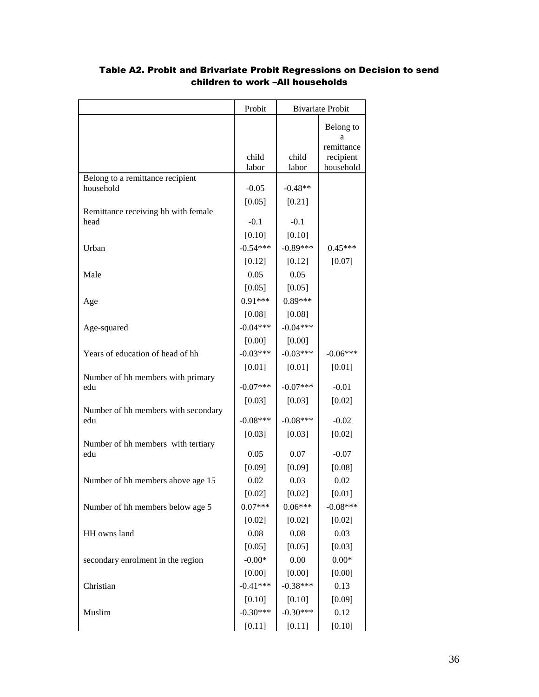|                                            | Probit         |                | <b>Bivariate Probit</b>      |
|--------------------------------------------|----------------|----------------|------------------------------|
|                                            |                |                | Belong to<br>а<br>remittance |
|                                            | child<br>labor | child<br>labor | recipient<br>household       |
| Belong to a remittance recipient           |                |                |                              |
| household                                  | $-0.05$        | $-0.48**$      |                              |
| Remittance receiving hh with female        | [0.05]         | [0.21]         |                              |
| head                                       | $-0.1$         | $-0.1$         |                              |
|                                            | [0.10]         | [0.10]         |                              |
| Urban                                      | $-0.54***$     | $-0.89***$     | $0.45***$                    |
|                                            | [0.12]         | [0.12]         | [0.07]                       |
| Male                                       | 0.05           | 0.05           |                              |
|                                            | [0.05]         | [0.05]         |                              |
| Age                                        | $0.91***$      | $0.89***$      |                              |
|                                            | [0.08]         | [0.08]         |                              |
| Age-squared                                | $-0.04***$     | $-0.04***$     |                              |
|                                            | [0.00]         | [0.00]         |                              |
| Years of education of head of hh           | $-0.03***$     | $-0.03***$     | $-0.06***$                   |
|                                            | $[0.01]$       | $[0.01]$       | $[0.01]$                     |
| Number of hh members with primary<br>edu   | $-0.07***$     | $-0.07***$     | $-0.01$                      |
|                                            | [0.03]         | [0.03]         | [0.02]                       |
| Number of hh members with secondary<br>edu | $-0.08***$     | $-0.08***$     | $-0.02$                      |
|                                            | [0.03]         | [0.03]         | [0.02]                       |
| Number of hh members with tertiary<br>edu  | 0.05           | 0.07           | $-0.07$                      |
|                                            | [0.09]         | [0.09]         | [0.08]                       |
| Number of hh members above age 15          | 0.02           | 0.03           | 0.02                         |
|                                            | [0.02]         | [0.02]         | [0.01]                       |
| Number of hh members below age 5           | $0.07***$      | $0.06***$      | $-0.08***$                   |
|                                            | [0.02]         | $[0.02]$       | [0.02]                       |
| HH owns land                               | 0.08           | 0.08           | 0.03                         |
|                                            | [0.05]         | [0.05]         | [0.03]                       |
| secondary enrolment in the region          | $-0.00*$       | $0.00\,$       | $0.00\mathrm{*}$             |
|                                            | [0.00]         | [0.00]         | [0.00]                       |
| Christian                                  | $-0.41***$     | $-0.38***$     | 0.13                         |
|                                            | $[0.10]$       | $[0.10]$       | [0.09]                       |
| Muslim                                     | $-0.30***$     | $-0.30***$     | 0.12                         |
|                                            | [0.11]         | [0.11]         | [0.10]                       |

# Table A2. Probit and Brivariate Probit Regressions on Decision to send children to work –All households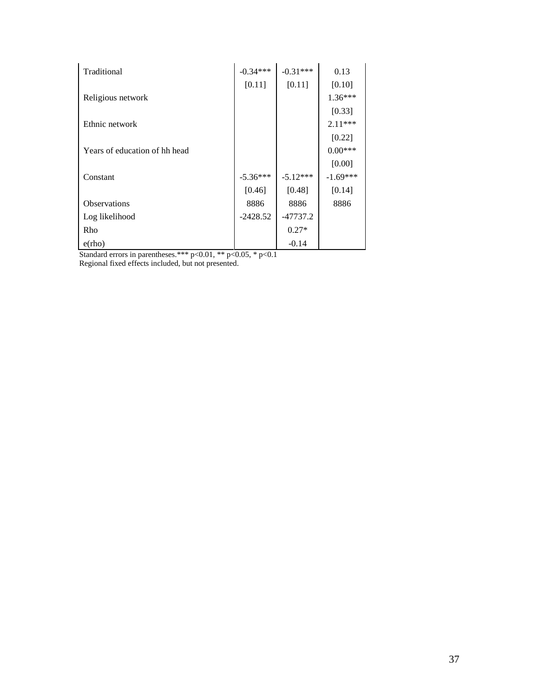| Traditional                   | $-0.34***$ | $-0.31***$ | 0.13       |
|-------------------------------|------------|------------|------------|
|                               | [0.11]     | [0.11]     | [0.10]     |
| Religious network             |            |            | 1.36***    |
|                               |            |            | [0.33]     |
| Ethnic network                |            |            | 2.11***    |
|                               |            |            | [0.22]     |
| Years of education of hh head |            |            | $0.00***$  |
|                               |            |            | [0.00]     |
| Constant                      | $-5.36***$ | $-5.12***$ | $-1.69***$ |
|                               | [0.46]     | [0.48]     | [0.14]     |
| <b>Observations</b>           | 8886       | 8886       | 8886       |
| Log likelihood                | $-2428.52$ | $-47737.2$ |            |
| Rho                           |            | $0.27*$    |            |
| $e$ (rho)                     |            | $-0.14$    |            |

Standard errors in parentheses.\*\*\*  $p<0.01$ , \*\*  $p<0.05$ , \*  $p<0.1$ 

Regional fixed effects included, but not presented.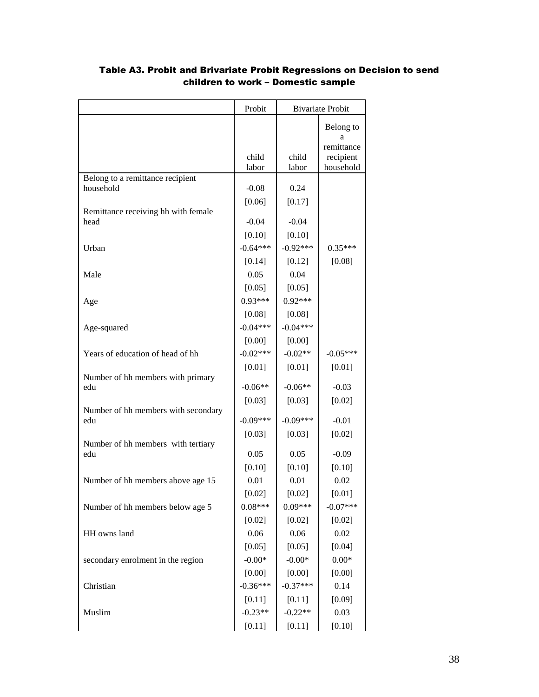|                                             | Probit         |                | <b>Bivariate Probit</b>      |
|---------------------------------------------|----------------|----------------|------------------------------|
|                                             |                |                | Belong to<br>а<br>remittance |
|                                             | child<br>labor | child<br>labor | recipient<br>household       |
| Belong to a remittance recipient            |                |                |                              |
| household                                   | $-0.08$        | 0.24           |                              |
|                                             | [0.06]         | [0.17]         |                              |
| Remittance receiving hh with female<br>head | $-0.04$        | $-0.04$        |                              |
|                                             | [0.10]         | [0.10]         |                              |
| Urban                                       | $-0.64***$     | $-0.92***$     | $0.35***$                    |
|                                             | [0.14]         | [0.12]         | [0.08]                       |
| Male                                        | 0.05           | 0.04           |                              |
|                                             | [0.05]         | [0.05]         |                              |
| Age                                         | $0.93***$      | $0.92***$      |                              |
|                                             | [0.08]         | [0.08]         |                              |
| Age-squared                                 | $-0.04***$     | $-0.04***$     |                              |
|                                             | [0.00]         | [0.00]         |                              |
| Years of education of head of hh            | $-0.02***$     | $-0.02**$      | $-0.05***$                   |
|                                             | $[0.01]$       | $[0.01]$       | $[0.01]$                     |
| Number of hh members with primary           |                |                |                              |
| edu                                         | $-0.06**$      | $-0.06**$      | $-0.03$                      |
|                                             | [0.03]         | [0.03]         | [0.02]                       |
| Number of hh members with secondary<br>edu  | $-0.09***$     | $-0.09***$     | $-0.01$                      |
|                                             | [0.03]         | [0.03]         | [0.02]                       |
| Number of hh members with tertiary          | 0.05           | 0.05           |                              |
| edu                                         | [0.10]         |                | $-0.09$                      |
| Number of hh members above age 15           | 0.01           | [0.10]<br>0.01 | [0.10]<br>0.02               |
|                                             | [0.02]         | [0.02]         |                              |
|                                             | $0.08***$      | $0.09***$      | [0.01]<br>$-0.07***$         |
| Number of hh members below age 5            |                |                |                              |
| HH owns land                                | [0.02]<br>0.06 | [0.02]<br>0.06 | [0.02]<br>0.02               |
|                                             |                |                |                              |
|                                             | [0.05]         | [0.05]         | [0.04]                       |
| secondary enrolment in the region           | $-0.00*$       | $-0.00*$       | $0.00\mathrm{*}$             |
|                                             | [0.00]         | [0.00]         | [0.00]                       |
| Christian                                   | $-0.36***$     | $-0.37***$     | 0.14                         |
|                                             | $[0.11]$       | $[0.11]$       | [0.09]                       |
| Muslim                                      | $-0.23**$      | $-0.22**$      | 0.03                         |
|                                             | [0.11]         | [0.11]         | [0.10]                       |

# Table A3. Probit and Brivariate Probit Regressions on Decision to send children to work – Domestic sample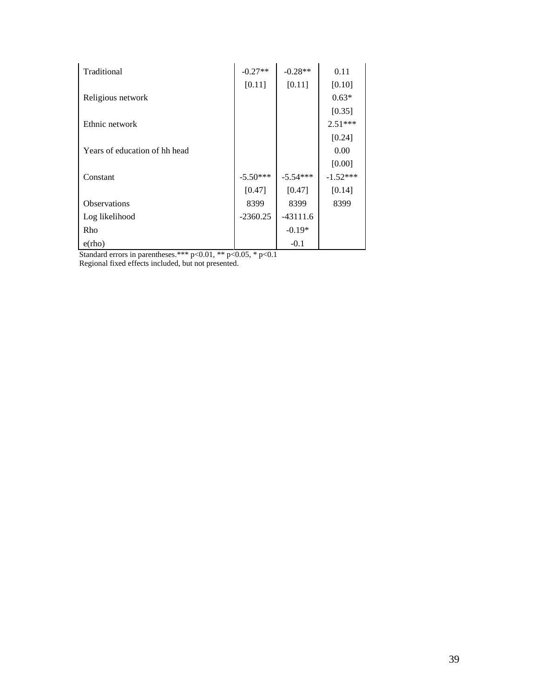| Traditional                   | $-0.27**$  | $-0.28**$  | 0.11       |
|-------------------------------|------------|------------|------------|
|                               | [0.11]     | [0.11]     | [0.10]     |
|                               |            |            | $0.63*$    |
| Religious network             |            |            |            |
|                               |            |            | [0.35]     |
| Ethnic network                |            |            | $2.51***$  |
|                               |            |            | [0.24]     |
| Years of education of hh head |            |            | 0.00       |
|                               |            |            | [0.00]     |
| Constant                      | $-5.50***$ | $-5.54***$ | $-1.52***$ |
|                               | [0.47]     | [0.47]     | [0.14]     |
| <b>Observations</b>           | 8399       | 8399       | 8399       |
| Log likelihood                | $-2360.25$ | $-43111.6$ |            |
| Rho                           |            | $-0.19*$   |            |
| $e$ (rho)                     |            | $-0.1$     |            |

Standard errors in parentheses.\*\*\*  $p<0.01$ , \*\*  $p<0.05$ , \*  $p<0.1$ Regional fixed effects included, but not presented.

39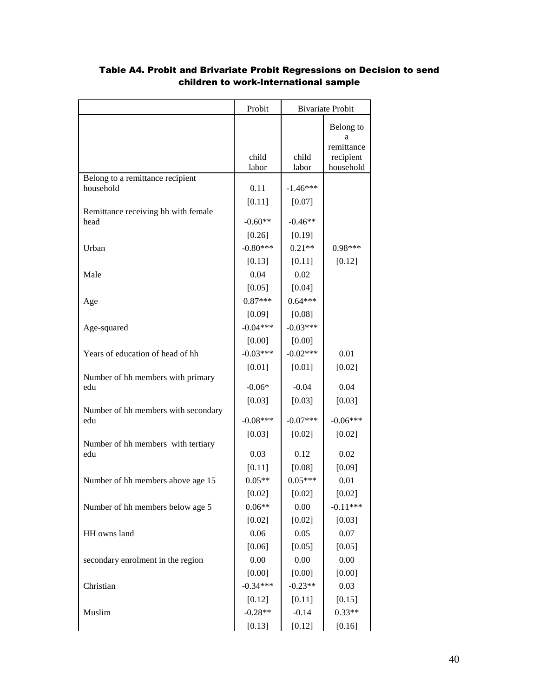|                                          | Probit         |                  | <b>Bivariate Probit</b>      |
|------------------------------------------|----------------|------------------|------------------------------|
|                                          |                |                  | Belong to<br>a<br>remittance |
|                                          | child<br>labor | child<br>labor   | recipient<br>household       |
| Belong to a remittance recipient         |                |                  |                              |
| household                                | 0.11           | $-1.46***$       |                              |
| Remittance receiving hh with female      | [0.11]         | [0.07]           |                              |
| head                                     | $-0.60**$      | $-0.46**$        |                              |
|                                          | [0.26]         | [0.19]           |                              |
| Urban                                    | $-0.80***$     | $0.21**$         | 0.98***                      |
|                                          | [0.13]         | [0.11]           | [0.12]                       |
| Male                                     | 0.04           | 0.02             |                              |
|                                          | [0.05]         | [0.04]           |                              |
| Age                                      | $0.87***$      | $0.64***$        |                              |
|                                          | [0.09]         | [0.08]           |                              |
| Age-squared                              | $-0.04***$     | $-0.03***$       |                              |
|                                          | [0.00]         | [0.00]           |                              |
| Years of education of head of hh         | $-0.03***$     | $-0.02***$       | 0.01                         |
|                                          | [0.01]         | $[0.01]$         | $[0.02]$                     |
| Number of hh members with primary<br>edu | $-0.06*$       | $-0.04$          | 0.04                         |
|                                          |                |                  |                              |
| Number of hh members with secondary      | [0.03]         | [0.03]           | [0.03]                       |
| edu                                      | $-0.08***$     | $-0.07***$       | $-0.06***$                   |
|                                          | [0.03]         | $[0.02]$         | $[0.02]$                     |
| Number of hh members with tertiary       |                |                  |                              |
| edu                                      | 0.03           | 0.12             | 0.02                         |
|                                          | [0.11]         | [0.08]           | [0.09]                       |
| Number of hh members above age 15        | $0.05**$       | $0.05***$        | 0.01                         |
|                                          | [0.02]         | [0.02]           | [0.02]<br>$-0.11***$         |
| Number of hh members below age 5         | $0.06**$       | 0.00             |                              |
| HH owns land                             | [0.02]<br>0.06 | $[0.02]$<br>0.05 | [0.03]<br>0.07               |
|                                          | [0.06]         | [0.05]           | [0.05]                       |
| secondary enrolment in the region        | 0.00           | 0.00             | 0.00                         |
|                                          | [0.00]         | [0.00]           | [0.00]                       |
| Christian                                | $-0.34***$     | $-0.23**$        | 0.03                         |
|                                          | [0.12]         | [0.11]           | [0.15]                       |
| Muslim                                   | $-0.28**$      | $-0.14$          | $0.33**$                     |
|                                          | [0.13]         | [0.12]           | [0.16]                       |

# Table A4. Probit and Brivariate Probit Regressions on Decision to send children to work-International sample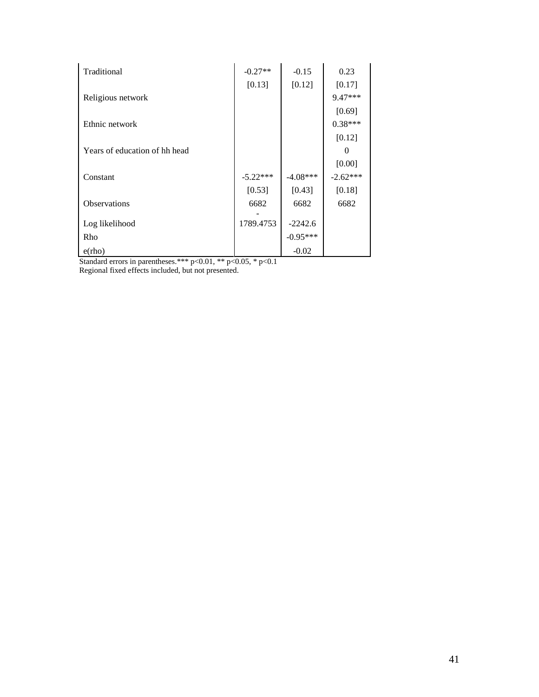| Traditional                   | $-0.27**$  | $-0.15$    | 0.23       |
|-------------------------------|------------|------------|------------|
|                               | [0.13]     | [0.12]     | [0.17]     |
| Religious network             |            |            | $9.47***$  |
|                               |            |            | [0.69]     |
| Ethnic network                |            |            | $0.38***$  |
|                               |            |            | [0.12]     |
| Years of education of hh head |            |            | 0          |
|                               |            |            | [0.00]     |
| Constant                      | $-5.22***$ | $-4.08***$ | $-2.62***$ |
|                               | [0.53]     | [0.43]     | [0.18]     |
| <b>Observations</b>           | 6682       | 6682       | 6682       |
|                               |            |            |            |
| Log likelihood                | 1789.4753  | $-2242.6$  |            |
| Rho                           |            | $-0.95***$ |            |
| $e$ (rho)                     |            | $-0.02$    |            |

Standard errors in parentheses.\*\*\*  $p<0.01$ , \*\*  $p<0.05$ , \*  $p<0.1$ 

Regional fixed effects included, but not presented.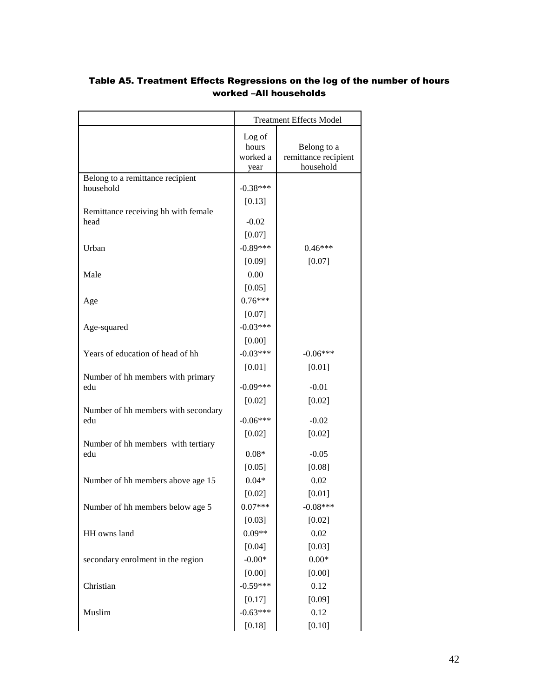|                                               | <b>Treatment Effects Model</b> |                      |  |
|-----------------------------------------------|--------------------------------|----------------------|--|
|                                               | Log of                         |                      |  |
|                                               | hours                          | Belong to a          |  |
|                                               | worked a                       | remittance recipient |  |
|                                               | year                           | household            |  |
| Belong to a remittance recipient<br>household | $-0.38***$                     |                      |  |
|                                               |                                |                      |  |
| Remittance receiving hh with female           | [0.13]                         |                      |  |
| head                                          | $-0.02$                        |                      |  |
|                                               | [0.07]                         |                      |  |
| Urban                                         | $-0.89***$                     | $0.46***$            |  |
|                                               | [0.09]                         | [0.07]               |  |
| Male                                          | 0.00                           |                      |  |
|                                               | [0.05]                         |                      |  |
| Age                                           | $0.76***$                      |                      |  |
|                                               | [0.07]                         |                      |  |
| Age-squared                                   | $-0.03***$                     |                      |  |
|                                               | [0.00]                         |                      |  |
| Years of education of head of hh              | $-0.03***$                     | $-0.06***$           |  |
|                                               | $[0.01]$                       | $[0.01]$             |  |
| Number of hh members with primary             |                                |                      |  |
| edu                                           | $-0.09***$                     | $-0.01$              |  |
|                                               | [0.02]                         | $[0.02]$             |  |
| Number of hh members with secondary<br>edu    | $-0.06***$                     | $-0.02$              |  |
|                                               | $[0.02]$                       | [0.02]               |  |
| Number of hh members with tertiary            |                                |                      |  |
| edu                                           | $0.08*$                        | $-0.05$              |  |
|                                               | [0.05]                         | [0.08]               |  |
| Number of hh members above age 15             | $0.04*$                        | 0.02                 |  |
|                                               | [0.02]                         | $[0.01]$             |  |
| Number of hh members below age 5              | $0.07***$                      | $-0.08***$           |  |
|                                               | [0.03]                         | [0.02]               |  |
| HH owns land                                  | $0.09**$                       | 0.02                 |  |
|                                               | [0.04]                         | [0.03]               |  |
| secondary enrolment in the region             | $-0.00*$                       | $0.00\mathrm{*}$     |  |
|                                               | [0.00]                         | [0.00]               |  |
| Christian                                     | $-0.59***$                     | 0.12                 |  |
|                                               | [0.17]                         | [0.09]               |  |
| Muslim                                        | $-0.63***$                     | 0.12                 |  |
|                                               | [0.18]                         | [0.10]               |  |

# Table A5. Treatment Effects Regressions on the log of the number of hours worked –All households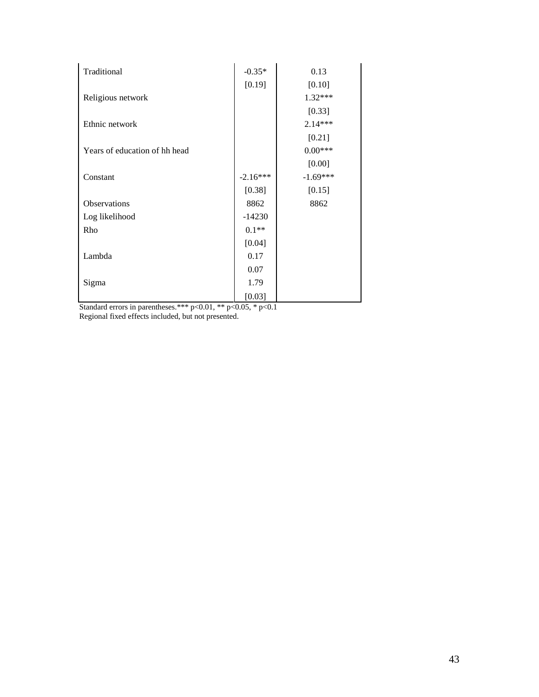| Traditional                   | $-0.35*$   | 0.13       |
|-------------------------------|------------|------------|
|                               | [0.19]     | [0.10]     |
| Religious network             |            | $1.32***$  |
|                               |            | [0.33]     |
| Ethnic network                |            | $2.14***$  |
|                               |            | $[0.21]$   |
| Years of education of hh head |            | $0.00***$  |
|                               |            | [0.00]     |
| Constant                      | $-2.16***$ | $-1.69***$ |
|                               | [0.38]     | [0.15]     |
| Observations                  | 8862       | 8862       |
| Log likelihood                | $-14230$   |            |
| Rho                           | $0.1**$    |            |
|                               | [0.04]     |            |
| Lambda                        | 0.17       |            |
|                               | 0.07       |            |
| Sigma                         | 1.79       |            |
|                               | [0.03]     |            |

Standard errors in parentheses.\*\*\*  $p<0.01$ , \*\*  $p<0.05$ , \*  $p<0.1$ Regional fixed effects included, but not presented.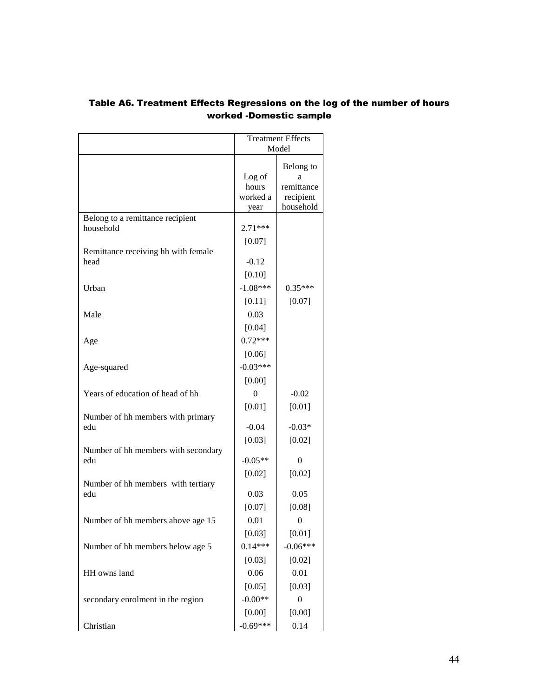|                                               | <b>Treatment Effects</b>    |                              |  |
|-----------------------------------------------|-----------------------------|------------------------------|--|
|                                               | Model                       |                              |  |
|                                               | Log of<br>hours<br>worked a | Belong to<br>а<br>remittance |  |
|                                               | year                        | recipient<br>household       |  |
| Belong to a remittance recipient<br>household | 2.71***                     |                              |  |
|                                               | [0.07]                      |                              |  |
| Remittance receiving hh with female<br>head   | $-0.12$                     |                              |  |
|                                               | [0.10]                      |                              |  |
| Urban                                         | $-1.08***$                  | $0.35***$                    |  |
|                                               | [0.11]                      | $[0.07]$                     |  |
| Male                                          | 0.03                        |                              |  |
|                                               | [0.04]                      |                              |  |
| Age                                           | $0.72***$                   |                              |  |
|                                               | [0.06]                      |                              |  |
| Age-squared                                   | $-0.03***$                  |                              |  |
|                                               | [0.00]                      |                              |  |
| Years of education of head of hh              | $\theta$                    | $-0.02$                      |  |
|                                               | $[0.01]$                    | $[0.01]$                     |  |
| Number of hh members with primary             |                             |                              |  |
| edu                                           | $-0.04$                     | $-0.03*$                     |  |
| Number of hh members with secondary           | [0.03]                      | [0.02]                       |  |
| edu                                           | $-0.05**$                   | $\theta$                     |  |
|                                               | $[0.02]$                    | [0.02]                       |  |
| Number of hh members with tertiary<br>edu     | 0.03                        | 0.05                         |  |
|                                               | [0.07]                      | [0.08]                       |  |
| Number of hh members above age 15             | 0.01                        | 0                            |  |
|                                               | [0.03]                      | $[0.01]$                     |  |
| Number of hh members below age 5              | $0.14***$                   | $-0.06***$                   |  |
|                                               | [0.03]                      | $[0.02]$                     |  |
| HH owns land                                  | 0.06                        | 0.01                         |  |
|                                               | [0.05]                      | [0.03]                       |  |
| secondary enrolment in the region             | $-0.00**$                   | $\boldsymbol{0}$             |  |
|                                               | [0.00]                      | [0.00]                       |  |
| Christian                                     | $-0.69***$                  | 0.14                         |  |

# Table A6. Treatment Effects Regressions on the log of the number of hours worked -Domestic sample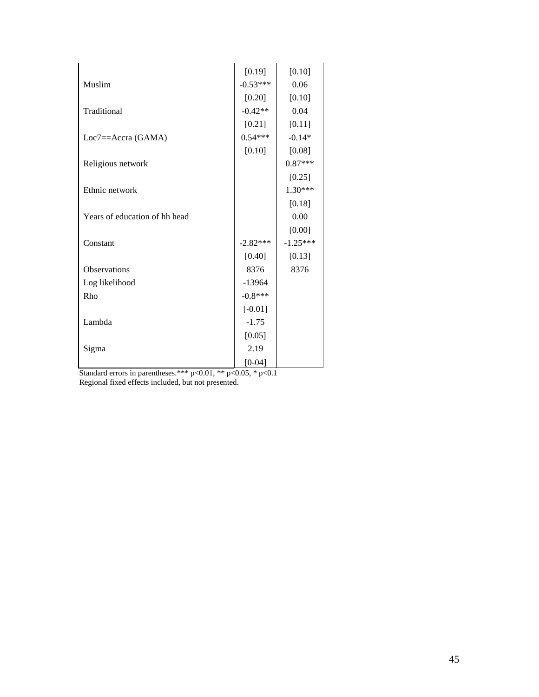|                               | [0.19]     | [0.10]     |
|-------------------------------|------------|------------|
| Muslim                        | $-0.53***$ | 0.06       |
|                               | $[0.20]$   | [0.10]     |
| Traditional                   | $-0.42**$  | 0.04       |
|                               | $[0.21]$   | $[0.11]$   |
| $Loc7 = Accra(GAMA)$          | $0.54***$  | $-0.14*$   |
|                               | [0.10]     | [0.08]     |
| Religious network             |            | $0.87***$  |
|                               |            | $[0.25]$   |
| Ethnic network                |            | $1.30***$  |
|                               |            | [0.18]     |
| Years of education of hh head |            | 0.00       |
|                               |            | [0.00]     |
| Constant                      | $-2.82***$ | $-1.25***$ |
|                               | [0.40]     | [0.13]     |
| Observations                  | 8376       | 8376       |
| Log likelihood                | $-13964$   |            |
| Rho                           | $-0.8***$  |            |
|                               | $[-0.01]$  |            |
| Lambda                        | $-1.75$    |            |
|                               | [0.05]     |            |
| Sigma                         | 2.19       |            |
|                               | $[0-04]$   |            |

Standard errors in parentheses.\*\*\*  $p<0.01$ , \*\*  $p<0.05$ , \*  $p<0.1$ Regional fixed effects included, but not presented.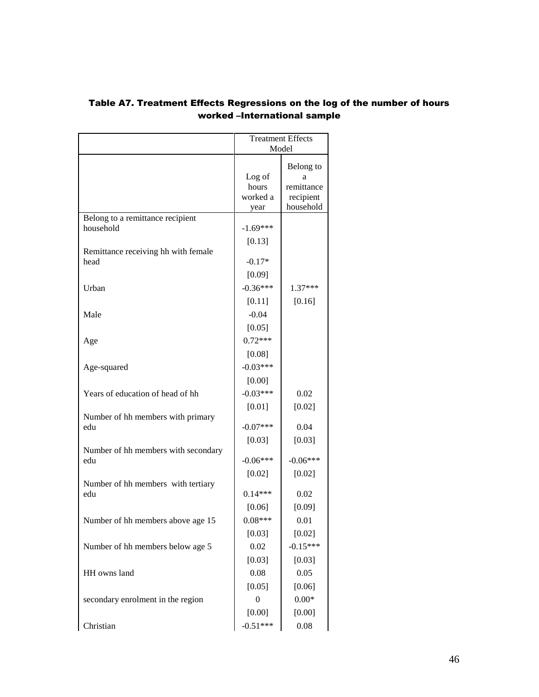|                                            | <b>Treatment Effects</b> |                        |
|--------------------------------------------|--------------------------|------------------------|
|                                            | Model                    |                        |
|                                            | Log of                   | Belong to<br>а         |
|                                            | hours                    | remittance             |
|                                            | worked a<br>year         | recipient<br>household |
| Belong to a remittance recipient           |                          |                        |
| household                                  | $-1.69***$               |                        |
|                                            | [0.13]                   |                        |
| Remittance receiving hh with female        |                          |                        |
| head                                       | $-0.17*$                 |                        |
|                                            | [0.09]                   |                        |
| Urban                                      | $-0.36***$               | $1.37***$              |
|                                            | $[0.11]$                 | [0.16]                 |
| Male                                       | $-0.04$                  |                        |
|                                            | [0.05]                   |                        |
| Age                                        | $0.72***$                |                        |
|                                            | [0.08]                   |                        |
| Age-squared                                | $-0.03***$               |                        |
|                                            | [0.00]                   |                        |
| Years of education of head of hh           | $-0.03***$               | 0.02                   |
|                                            | $[0.01]$                 | [0.02]                 |
| Number of hh members with primary          |                          |                        |
| edu                                        | $-0.07***$               | 0.04                   |
|                                            | [0.03]                   | [0.03]                 |
| Number of hh members with secondary<br>edu | $-0.06***$               | $-0.06***$             |
|                                            |                          |                        |
| Number of hh members with tertiary         | $[0.02]$                 | [0.02]                 |
| edu                                        | $0.14***$                | 0.02                   |
|                                            | [0.06]                   | [0.09]                 |
| Number of hh members above age 15          | $0.08***$                | 0.01                   |
|                                            | [0.03]                   | [0.02]                 |
| Number of hh members below age 5           | 0.02                     | $-0.15***$             |
|                                            | [0.03]                   | [0.03]                 |
| HH owns land                               | 0.08                     | 0.05                   |
|                                            | [0.05]                   | [0.06]                 |
| secondary enrolment in the region          | $\boldsymbol{0}$         | $0.00*$                |
|                                            | [0.00]                   | [0.00]                 |
|                                            |                          |                        |
| Christian                                  | $-0.51***$               | 0.08                   |

## Table A7. Treatment Effects Regressions on the log of the number of hours worked –International sample